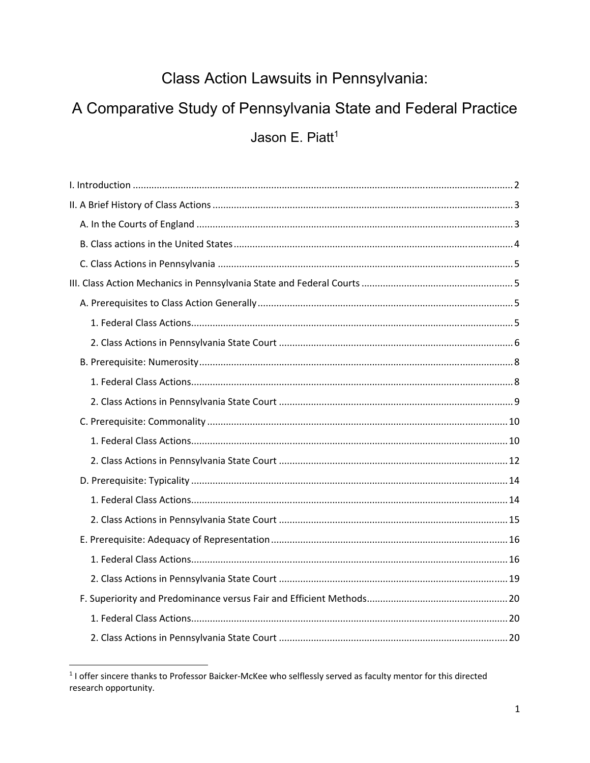# Class Action Lawsuits in Pennsylvania:

# A Comparative Study of Pennsylvania State and Federal Practice

Jason E. Piatt<sup>1</sup>

<sup>&</sup>lt;sup>1</sup> I offer sincere thanks to Professor Baicker-McKee who selflessly served as faculty mentor for this directed research opportunity.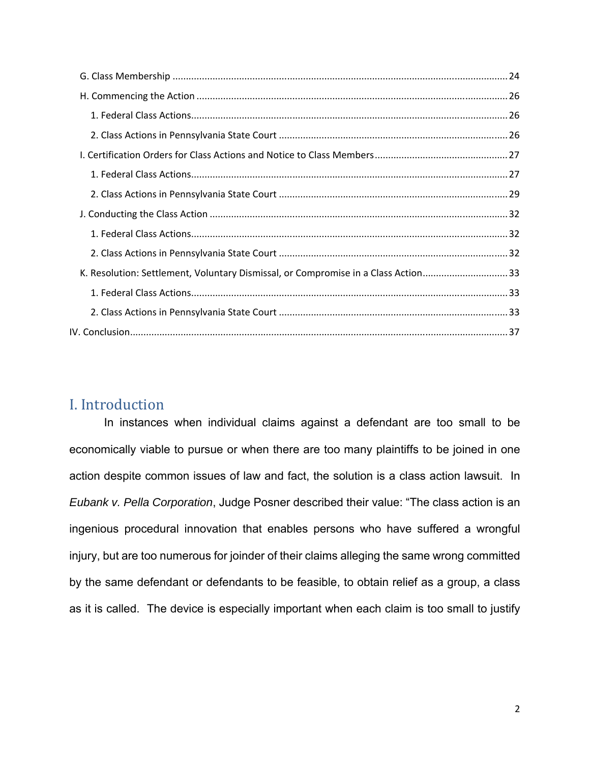| K. Resolution: Settlement, Voluntary Dismissal, or Compromise in a Class Action33 |  |
|-----------------------------------------------------------------------------------|--|
|                                                                                   |  |
|                                                                                   |  |
|                                                                                   |  |

## I. Introduction

In instances when individual claims against a defendant are too small to be economically viable to pursue or when there are too many plaintiffs to be joined in one action despite common issues of law and fact, the solution is a class action lawsuit. In *Eubank v. Pella Corporation*, Judge Posner described their value: "The class action is an ingenious procedural innovation that enables persons who have suffered a wrongful injury, but are too numerous for joinder of their claims alleging the same wrong committed by the same defendant or defendants to be feasible, to obtain relief as a group, a class as it is called. The device is especially important when each claim is too small to justify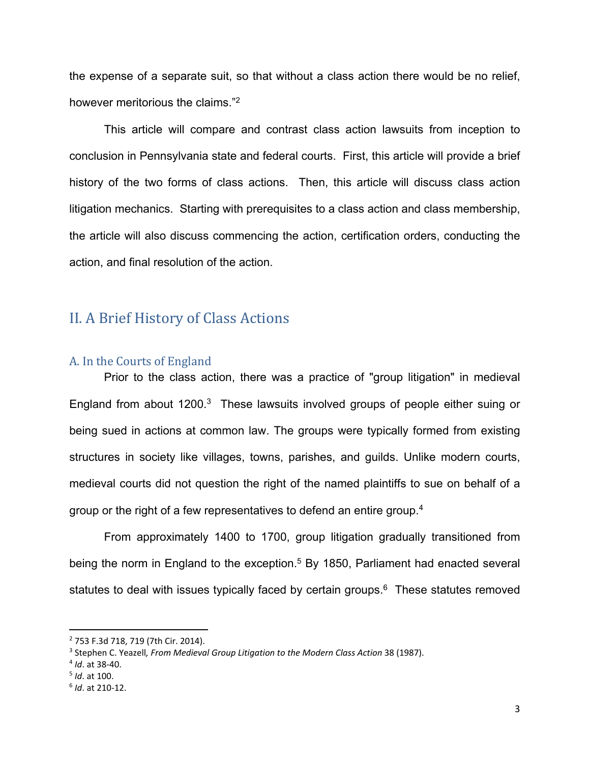the expense of a separate suit, so that without a class action there would be no relief, however meritorious the claims."2

This article will compare and contrast class action lawsuits from inception to conclusion in Pennsylvania state and federal courts. First, this article will provide a brief history of the two forms of class actions. Then, this article will discuss class action litigation mechanics. Starting with prerequisites to a class action and class membership, the article will also discuss commencing the action, certification orders, conducting the action, and final resolution of the action.

## II. A Brief History of Class Actions

#### A. In the Courts of England

Prior to the class action, there was a practice of "group litigation" in medieval England from about 1200.<sup>3</sup> These lawsuits involved groups of people either suing or being sued in actions at common law. The groups were typically formed from existing structures in society like villages, towns, parishes, and guilds. Unlike modern courts, medieval courts did not question the right of the named plaintiffs to sue on behalf of a group or the right of a few representatives to defend an entire group.<sup>4</sup>

From approximately 1400 to 1700, group litigation gradually transitioned from being the norm in England to the exception.<sup>5</sup> By 1850, Parliament had enacted several statutes to deal with issues typically faced by certain groups.<sup>6</sup> These statutes removed

 2 753 F.3d 718, 719 (7th Cir. 2014).

<sup>&</sup>lt;sup>3</sup> Stephen C. Yeazell, From Medieval Group Litigation to the Modern Class Action 38 (1987).

<sup>4</sup> *Id*. at 38‐40.

<sup>5</sup> *Id*. at 100.

<sup>6</sup> *Id*. at 210‐12.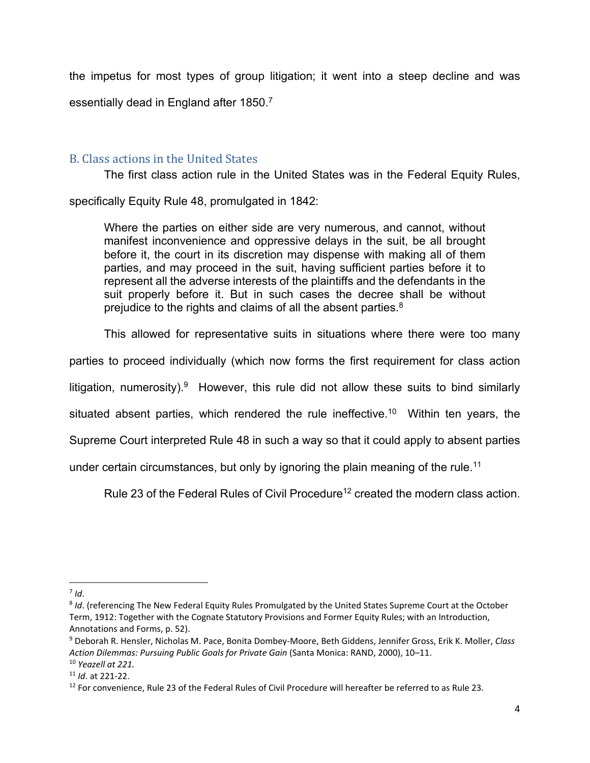the impetus for most types of group litigation; it went into a steep decline and was essentially dead in England after 1850.7

## B. Class actions in the United States

The first class action rule in the United States was in the Federal Equity Rules,

specifically Equity Rule 48, promulgated in 1842:

Where the parties on either side are very numerous, and cannot, without manifest inconvenience and oppressive delays in the suit, be all brought before it, the court in its discretion may dispense with making all of them parties, and may proceed in the suit, having sufficient parties before it to represent all the adverse interests of the plaintiffs and the defendants in the suit properly before it. But in such cases the decree shall be without prejudice to the rights and claims of all the absent parties. $8$ 

This allowed for representative suits in situations where there were too many

parties to proceed individually (which now forms the first requirement for class action

litigation, numerosity).<sup>9</sup> However, this rule did not allow these suits to bind similarly

situated absent parties, which rendered the rule ineffective.<sup>10</sup> Within ten years, the

Supreme Court interpreted Rule 48 in such a way so that it could apply to absent parties

under certain circumstances, but only by ignoring the plain meaning of the rule.<sup>11</sup>

Rule 23 of the Federal Rules of Civil Procedure<sup>12</sup> created the modern class action.

 $7$  *Id.* 

<sup>8</sup> *Id*. (referencing The New Federal Equity Rules Promulgated by the United States Supreme Court at the October Term, 1912: Together with the Cognate Statutory Provisions and Former Equity Rules; with an Introduction, Annotations and Forms, p. 52).

<sup>9</sup> Deborah R. Hensler, Nicholas M. Pace, Bonita Dombey‐Moore, Beth Giddens, Jennifer Gross, Erik K. Moller, *Class Action Dilemmas: Pursuing Public Goals for Private Gain* (Santa Monica: RAND, 2000), 10–11. <sup>10</sup> *Yeazell at 221.*

<sup>11</sup> *Id*. at 221‐22.

<sup>&</sup>lt;sup>12</sup> For convenience, Rule 23 of the Federal Rules of Civil Procedure will hereafter be referred to as Rule 23.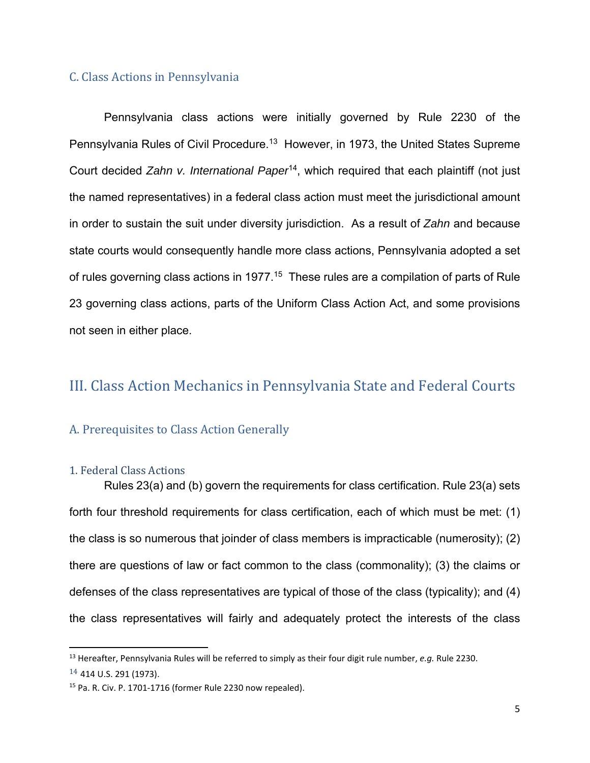#### C. Class Actions in Pennsylvania

Pennsylvania class actions were initially governed by Rule 2230 of the Pennsylvania Rules of Civil Procedure.<sup>13</sup> However, in 1973, the United States Supreme Court decided *Zahn v. International Paper*14, which required that each plaintiff (not just the named representatives) in a federal class action must meet the jurisdictional amount in order to sustain the suit under diversity jurisdiction. As a result of *Zahn* and because state courts would consequently handle more class actions, Pennsylvania adopted a set of rules governing class actions in 1977.<sup>15</sup> These rules are a compilation of parts of Rule 23 governing class actions, parts of the Uniform Class Action Act, and some provisions not seen in either place.

## III. Class Action Mechanics in Pennsylvania State and Federal Courts

## A. Prerequisites to Class Action Generally

#### 1. Federal Class Actions

Rules 23(a) and (b) govern the requirements for class certification. Rule 23(a) sets forth four threshold requirements for class certification, each of which must be met: (1) the class is so numerous that joinder of class members is impracticable (numerosity); (2) there are questions of law or fact common to the class (commonality); (3) the claims or defenses of the class representatives are typical of those of the class (typicality); and (4) the class representatives will fairly and adequately protect the interests of the class

<sup>13</sup> Hereafter, Pennsylvania Rules will be referred to simply as their four digit rule number, *e.g.* Rule 2230. <sup>14</sup> 414 U.S. 291 (1973).

<sup>15</sup> Pa. R. Civ. P. 1701‐1716 (former Rule 2230 now repealed).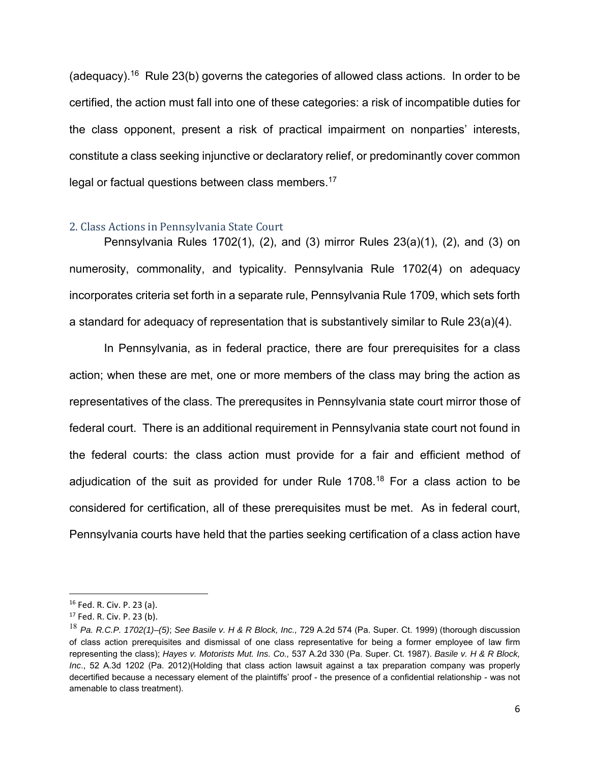(adequacy).<sup>16</sup> Rule 23(b) governs the categories of allowed class actions. In order to be certified, the action must fall into one of these categories: a risk of incompatible duties for the class opponent, present a risk of practical impairment on nonparties' interests, constitute a class seeking injunctive or declaratory relief, or predominantly cover common legal or factual questions between class members.<sup>17</sup>

#### 2. Class Actions in Pennsylvania State Court

Pennsylvania Rules 1702(1), (2), and (3) mirror Rules 23(a)(1), (2), and (3) on numerosity, commonality, and typicality. Pennsylvania Rule 1702(4) on adequacy incorporates criteria set forth in a separate rule, Pennsylvania Rule 1709, which sets forth a standard for adequacy of representation that is substantively similar to Rule 23(a)(4).

In Pennsylvania, as in federal practice, there are four prerequisites for a class action; when these are met, one or more members of the class may bring the action as representatives of the class. The prerequsites in Pennsylvania state court mirror those of federal court. There is an additional requirement in Pennsylvania state court not found in the federal courts: the class action must provide for a fair and efficient method of adjudication of the suit as provided for under Rule 1708.<sup>18</sup> For a class action to be considered for certification, all of these prerequisites must be met. As in federal court, Pennsylvania courts have held that the parties seeking certification of a class action have

<sup>16</sup> Fed. R. Civ. P. 23 (a).

<sup>17</sup> Fed. R. Civ. P. 23 (b).

<sup>18</sup> *Pa. R.C.P. 1702(1)–(5)*; *See Basile v. H & R Block, Inc.,* 729 A.2d 574 (Pa. Super. Ct. 1999) (thorough discussion of class action prerequisites and dismissal of one class representative for being a former employee of law firm representing the class); *Hayes v. Motorists Mut. Ins. Co.,* 537 A.2d 330 (Pa. Super. Ct. 1987). *Basile v. H & R Block, Inc*., 52 A.3d 1202 (Pa. 2012)(Holding that class action lawsuit against a tax preparation company was properly decertified because a necessary element of the plaintiffs' proof - the presence of a confidential relationship - was not amenable to class treatment).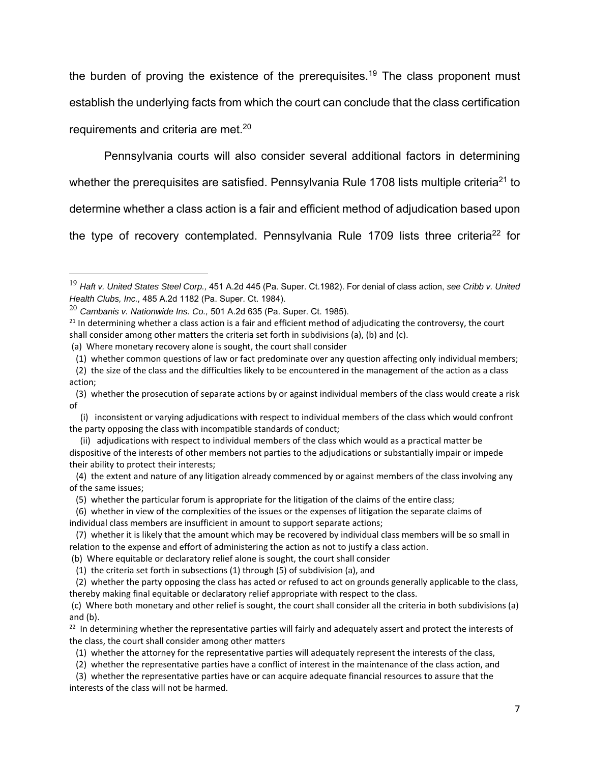the burden of proving the existence of the prerequisites.<sup>19</sup> The class proponent must establish the underlying facts from which the court can conclude that the class certification requirements and criteria are met.<sup>20</sup>

Pennsylvania courts will also consider several additional factors in determining whether the prerequisites are satisfied. Pennsylvania Rule 1708 lists multiple criteria<sup>21</sup> to determine whether a class action is a fair and efficient method of adjudication based upon the type of recovery contemplated. Pennsylvania Rule 1709 lists three criteria<sup>22</sup> for

(1) the criteria set forth in subsections (1) through (5) of subdivision (a), and

 (2) whether the party opposing the class has acted or refused to act on grounds generally applicable to the class, thereby making final equitable or declaratory relief appropriate with respect to the class.

 (c) Where both monetary and other relief is sought, the court shall consider all the criteria in both subdivisions (a) and (b).

<sup>22</sup> In determining whether the representative parties will fairly and adequately assert and protect the interests of the class, the court shall consider among other matters

- (1) whether the attorney for the representative parties will adequately represent the interests of the class,
- (2) whether the representative parties have a conflict of interest in the maintenance of the class action, and

 (3) whether the representative parties have or can acquire adequate financial resources to assure that the interests of the class will not be harmed.

<sup>19</sup> *Haft v. United States Steel Corp.,* 451 A.2d 445 (Pa. Super. Ct.1982). For denial of class action, *see Cribb v. United Health Clubs, Inc.,* 485 A.2d 1182 (Pa. Super. Ct. 1984).

<sup>20</sup> *Cambanis v. Nationwide Ins. Co.,* 501 A.2d 635 (Pa. Super. Ct. 1985).

 $21$  In determining whether a class action is a fair and efficient method of adjudicating the controversy, the court shall consider among other matters the criteria set forth in subdivisions (a), (b) and (c).

 <sup>(</sup>a) Where monetary recovery alone is sought, the court shall consider

 <sup>(1)</sup> whether common questions of law or fact predominate over any question affecting only individual members;

 <sup>(2)</sup> the size of the class and the difficulties likely to be encountered in the management of the action as a class action;

 <sup>(3)</sup> whether the prosecution of separate actions by or against individual members of the class would create a risk of

 <sup>(</sup>i) inconsistent or varying adjudications with respect to individual members of the class which would confront the party opposing the class with incompatible standards of conduct;

 <sup>(</sup>ii) adjudications with respect to individual members of the class which would as a practical matter be dispositive of the interests of other members not parties to the adjudications or substantially impair or impede their ability to protect their interests;

 <sup>(4)</sup> the extent and nature of any litigation already commenced by or against members of the class involving any of the same issues;

 <sup>(5)</sup> whether the particular forum is appropriate for the litigation of the claims of the entire class;

 <sup>(6)</sup> whether in view of the complexities of the issues or the expenses of litigation the separate claims of individual class members are insufficient in amount to support separate actions;

 <sup>(7)</sup> whether it is likely that the amount which may be recovered by individual class members will be so small in relation to the expense and effort of administering the action as not to justify a class action.

 <sup>(</sup>b) Where equitable or declaratory relief alone is sought, the court shall consider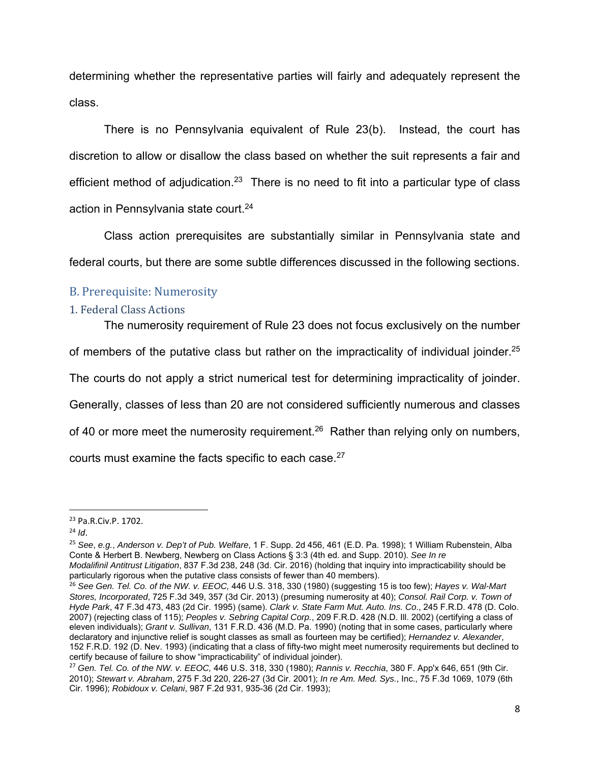determining whether the representative parties will fairly and adequately represent the class.

There is no Pennsylvania equivalent of Rule 23(b). Instead, the court has discretion to allow or disallow the class based on whether the suit represents a fair and efficient method of adjudication.<sup>23</sup> There is no need to fit into a particular type of class action in Pennsylvania state court.<sup>24</sup>

Class action prerequisites are substantially similar in Pennsylvania state and federal courts, but there are some subtle differences discussed in the following sections.

## B. Prerequisite: Numerosity

#### 1. Federal Class Actions

The numerosity requirement of Rule 23 does not focus exclusively on the number of members of the putative class but rather on the impracticality of individual joinder.<sup>25</sup> The courts do not apply a strict numerical test for determining impracticality of joinder. Generally, classes of less than 20 are not considered sufficiently numerous and classes of 40 or more meet the numerosity requirement.<sup>26</sup> Rather than relying only on numbers, courts must examine the facts specific to each case.27

<sup>24</sup> *Id*.

<sup>25</sup> *See*, *e.g.*, *Anderson v. Dep't of Pub. Welfare*, 1 F. Supp. 2d 456, 461 (E.D. Pa. 1998); 1 William Rubenstein, Alba Conte & Herbert B. Newberg, Newberg on Class Actions § 3:3 (4th ed. and Supp. 2010). *See In re* 

<sup>23</sup> Pa.R.Civ.P. 1702.

*Modalifinil Antitrust Litigation*, 837 F.3d 238, 248 (3d. Cir. 2016) (holding that inquiry into impracticability should be particularly rigorous when the putative class consists of fewer than 40 members).

<sup>26</sup> *See Gen. Tel. Co. of the NW. v. EEOC,* 446 U.S. 318, 330 (1980) (suggesting 15 is too few); *Hayes v. Wal-Mart Stores, Incorporated*, 725 F.3d 349, 357 (3d Cir. 2013) (presuming numerosity at 40); *Consol. Rail Corp. v. Town of Hyde Park*, 47 F.3d 473, 483 (2d Cir. 1995) (same). *Clark v. State Farm Mut. Auto. Ins. Co*., 245 F.R.D. 478 (D. Colo. 2007) (rejecting class of 115); *Peoples v. Sebring Capital Corp.*, 209 F.R.D. 428 (N.D. Ill. 2002) (certifying a class of eleven individuals); *Grant v. Sullivan*, 131 F.R.D. 436 (M.D. Pa. 1990) (noting that in some cases, particularly where declaratory and injunctive relief is sought classes as small as fourteen may be certified); *Hernandez v. Alexander*, 152 F.R.D. 192 (D. Nev. 1993) (indicating that a class of fifty-two might meet numerosity requirements but declined to certify because of failure to show "impracticability" of individual joinder).

<sup>27</sup> *Gen. Tel. Co. of the NW. v. EEOC,* 446 U.S. 318, 330 (1980); *Rannis v. Recchia*, 380 F. App'x 646, 651 (9th Cir. 2010); *Stewart v. Abraham*, 275 F.3d 220, 226-27 (3d Cir. 2001); *In re Am. Med. Sys.*, Inc., 75 F.3d 1069, 1079 (6th Cir. 1996); *Robidoux v. Celani*, 987 F.2d 931, 935-36 (2d Cir. 1993);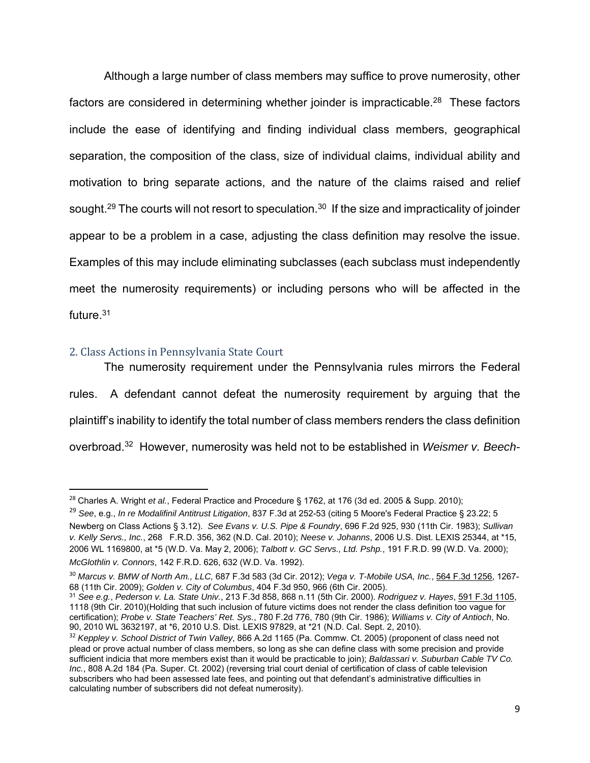Although a large number of class members may suffice to prove numerosity, other factors are considered in determining whether joinder is impracticable.<sup>28</sup> These factors include the ease of identifying and finding individual class members, geographical separation, the composition of the class, size of individual claims, individual ability and motivation to bring separate actions, and the nature of the claims raised and relief sought.<sup>29</sup> The courts will not resort to speculation.<sup>30</sup> If the size and impracticality of joinder appear to be a problem in a case, adjusting the class definition may resolve the issue. Examples of this may include eliminating subclasses (each subclass must independently meet the numerosity requirements) or including persons who will be affected in the future.31

## 2. Class Actions in Pennsylvania State Court

The numerosity requirement under the Pennsylvania rules mirrors the Federal rules. A defendant cannot defeat the numerosity requirement by arguing that the plaintiff's inability to identify the total number of class members renders the class definition overbroad.32 However, numerosity was held not to be established in *Weismer v. Beech-*

<sup>28</sup> Charles A. Wright *et al.*, Federal Practice and Procedure § 1762, at 176 (3d ed. 2005 & Supp. 2010);

<sup>29</sup> *See*, e.g., *In re Modalifinil Antitrust Litigation*, 837 F.3d at 252-53 (citing 5 Moore's Federal Practice § 23.22; 5 Newberg on Class Actions § 3.12). *See Evans v. U.S. Pipe & Foundry*, 696 F.2d 925, 930 (11th Cir. 1983); *Sullivan v. Kelly Servs., Inc.*, 268 F.R.D. 356, 362 (N.D. Cal. 2010); *Neese v. Johanns*, 2006 U.S. Dist. LEXIS 25344, at \*15, 2006 WL 1169800, at \*5 (W.D. Va. May 2, 2006); *Talbott v. GC Servs., Ltd. Pshp.*, 191 F.R.D. 99 (W.D. Va. 2000); *McGlothlin v. Connors*, 142 F.R.D. 626, 632 (W.D. Va. 1992).

<sup>30</sup> *Marcus v. BMW of North Am., LLC,* 687 F.3d 583 (3d Cir. 2012); *Vega v. T-Mobile USA, Inc.*, 564 F.3d 1256, 1267- 68 (11th Cir. 2009); Golden v. City of Columbus, 404 F.3d 950, 966 (6th Cir. 2005).<br><sup>31</sup> See e.g., Pederson v. La. State Univ., 213 F.3d 858, 868 n.11 (5th Cir. 2000). Rodriguez v. Hayes, 591 F.3d 1105,

<sup>1118 (9</sup>th Cir. 2010)(Holding that such inclusion of future victims does not render the class definition too vague for certification); *Probe v. State Teachers' Ret. Sys.*, 780 F.2d 776, 780 (9th Cir. 1986); *Williams v. City of Antioch*, No. 90, 2010 WL 3632197, at \*6, 2010 U.S. Dist. LEXIS 97829, at \*21 (N.D. Cal. Sept. 2, 2010).

<sup>32</sup> *Keppley v. School District of Twin Valley*, 866 A.2d 1165 (Pa. Commw. Ct. 2005) (proponent of class need not plead or prove actual number of class members, so long as she can define class with some precision and provide sufficient indicia that more members exist than it would be practicable to join); *Baldassari v. Suburban Cable TV Co. Inc.*, 808 A.2d 184 (Pa. Super. Ct. 2002) (reversing trial court denial of certification of class of cable television subscribers who had been assessed late fees, and pointing out that defendant's administrative difficulties in calculating number of subscribers did not defeat numerosity).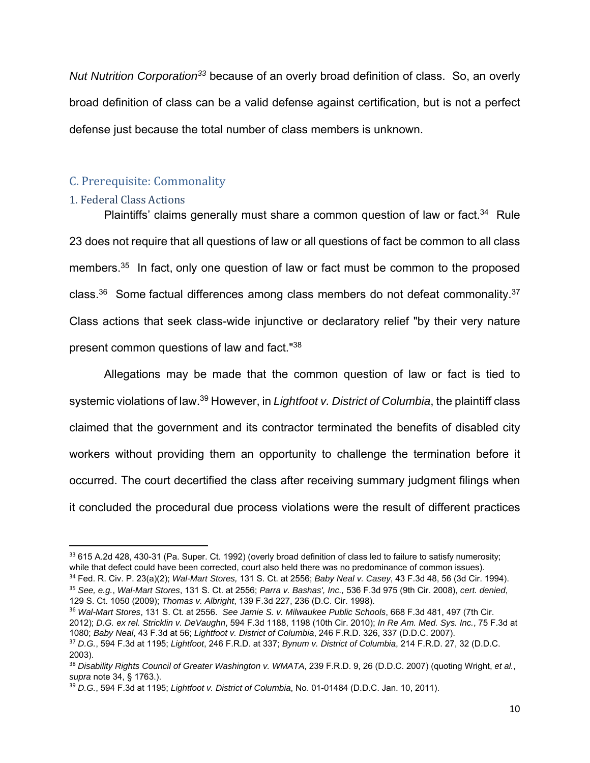*Nut Nutrition Corporation33* because of an overly broad definition of class.So, an overly broad definition of class can be a valid defense against certification, but is not a perfect defense just because the total number of class members is unknown.

## C. Prerequisite: Commonality

## 1. Federal Class Actions

Plaintiffs' claims generally must share a common question of law or fact.<sup>34</sup> Rule 23 does not require that all questions of law or all questions of fact be common to all class members.<sup>35</sup> In fact, only one question of law or fact must be common to the proposed class.36 Some factual differences among class members do not defeat commonality.37 Class actions that seek class-wide injunctive or declaratory relief "by their very nature present common questions of law and fact."38

Allegations may be made that the common question of law or fact is tied to systemic violations of law.39 However, in *Lightfoot v. District of Columbia*, the plaintiff class claimed that the government and its contractor terminated the benefits of disabled city workers without providing them an opportunity to challenge the termination before it occurred. The court decertified the class after receiving summary judgment filings when it concluded the procedural due process violations were the result of different practices

<sup>33 615</sup> A.2d 428, 430-31 (Pa. Super. Ct. 1992) (overly broad definition of class led to failure to satisfy numerosity; while that defect could have been corrected, court also held there was no predominance of common issues).

<sup>34</sup> Fed. R. Civ. P. 23(a)(2); *Wal-Mart Stores,* 131 S. Ct. at 2556; *Baby Neal v. Casey*, 43 F.3d 48, 56 (3d Cir. 1994). <sup>35</sup> *See, e.g.*, *Wal-Mart Stores*, 131 S. Ct. at 2556; *Parra v. Bashas', Inc.,* 536 F.3d 975 (9th Cir. 2008), *cert. denied*,

<sup>129</sup> S. Ct. 1050 (2009); *Thomas v. Albright*, 139 F.3d 227, 236 (D.C. Cir. 1998).

<sup>36</sup> *Wal-Mart Stores*, 131 S. Ct. at 2556. *See Jamie S. v. Milwaukee Public Schools*, 668 F.3d 481, 497 (7th Cir. 2012); *D.G. ex rel. Stricklin v. DeVaughn*, 594 F.3d 1188, 1198 (10th Cir. 2010); *In Re Am. Med. Sys. Inc.*, 75 F.3d at 1080; *Baby Neal*, 43 F.3d at 56; *Lightfoot v. District of Columbia*, 246 F.R.D. 326, 337 (D.D.C. 2007).

<sup>37</sup> *D.G.*, 594 F.3d at 1195; *Lightfoot*, 246 F.R.D. at 337; *Bynum v. District of Columbia*, 214 F.R.D. 27, 32 (D.D.C. 2003).

<sup>38</sup> *Disability Rights Council of Greater Washington v. WMATA*, 239 F.R.D. 9, 26 (D.D.C. 2007) (quoting Wright, *et al.*, *supra* note 34, § 1763.).

<sup>39</sup> *D.G.*, 594 F.3d at 1195; *Lightfoot v. District of Columbia*, No. 01-01484 (D.D.C. Jan. 10, 2011).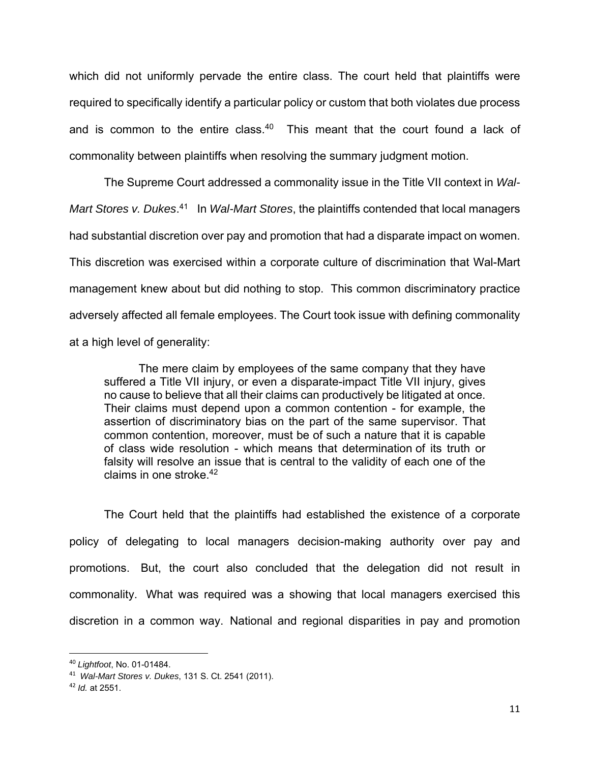which did not uniformly pervade the entire class. The court held that plaintiffs were required to specifically identify a particular policy or custom that both violates due process and is common to the entire class.<sup>40</sup> This meant that the court found a lack of commonality between plaintiffs when resolving the summary judgment motion.

The Supreme Court addressed a commonality issue in the Title VII context in *Wal-*Mart Stores v. Dukes.<sup>41</sup> In *Wal-Mart Stores*, the plaintiffs contended that local managers had substantial discretion over pay and promotion that had a disparate impact on women. This discretion was exercised within a corporate culture of discrimination that Wal-Mart management knew about but did nothing to stop. This common discriminatory practice adversely affected all female employees. The Court took issue with defining commonality at a high level of generality:

The mere claim by employees of the same company that they have suffered a Title VII injury, or even a disparate-impact Title VII injury, gives no cause to believe that all their claims can productively be litigated at once. Their claims must depend upon a common contention - for example, the assertion of discriminatory bias on the part of the same supervisor. That common contention, moreover, must be of such a nature that it is capable of class wide resolution - which means that determination of its truth or falsity will resolve an issue that is central to the validity of each one of the claims in one stroke.<sup>42</sup>

The Court held that the plaintiffs had established the existence of a corporate policy of delegating to local managers decision-making authority over pay and promotions. But, the court also concluded that the delegation did not result in commonality. What was required was a showing that local managers exercised this discretion in a common way. National and regional disparities in pay and promotion

<sup>40</sup> *Lightfoot*, No. 01-01484.

<sup>41</sup> *Wal-Mart Stores v. Dukes*, 131 S. Ct. 2541 (2011).

<sup>42</sup> *Id.* at 2551.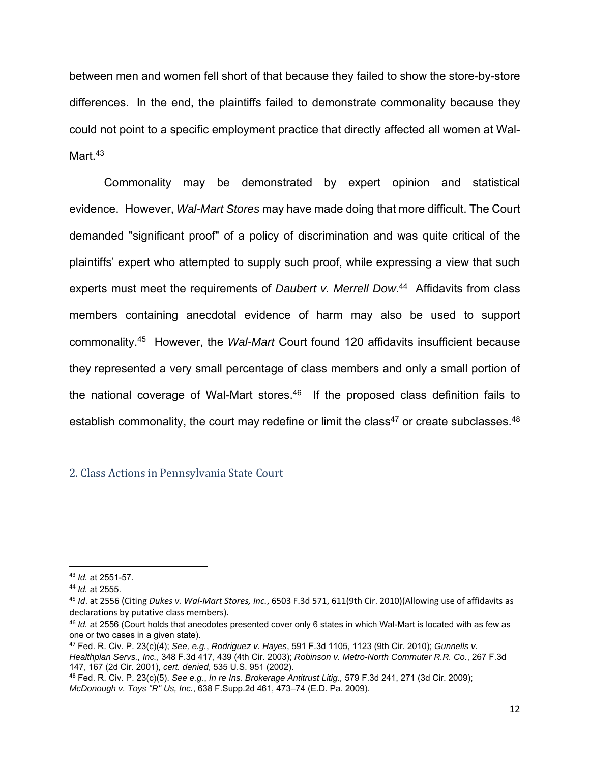between men and women fell short of that because they failed to show the store-by-store differences. In the end, the plaintiffs failed to demonstrate commonality because they could not point to a specific employment practice that directly affected all women at Wal-Mart<sup>43</sup>

Commonality may be demonstrated by expert opinion and statistical evidence. However, *Wal-Mart Stores* may have made doing that more difficult. The Court demanded "significant proof" of a policy of discrimination and was quite critical of the plaintiffs' expert who attempted to supply such proof, while expressing a view that such experts must meet the requirements of *Daubert v. Merrell Dow*. 44 Affidavits from class members containing anecdotal evidence of harm may also be used to support commonality.45 However, the *Wal-Mart* Court found 120 affidavits insufficient because they represented a very small percentage of class members and only a small portion of the national coverage of Wal-Mart stores. $46$  If the proposed class definition fails to establish commonality, the court may redefine or limit the class<sup>47</sup> or create subclasses.<sup>48</sup>

#### 2. Class Actions in Pennsylvania State Court

<sup>47</sup> Fed. R. Civ. P. 23(c)(4); *See, e.g.*, *Rodriguez v. Hayes*, 591 F.3d 1105, 1123 (9th Cir. 2010); *Gunnells v. Healthplan Servs., Inc.*, 348 F.3d 417, 439 (4th Cir. 2003); *Robinson v. Metro-North Commuter R.R. Co.*, 267 F.3d 147, 167 (2d Cir. 2001), *cert. denied*, 535 U.S. 951 (2002).

<sup>48</sup> Fed. R. Civ. P. 23(c)(5). *See e.g.*, *In re Ins. Brokerage Antitrust Litig.,* 579 F.3d 241, 271 (3d Cir. 2009); *McDonough v. Toys "R" Us, Inc.*, 638 F.Supp.2d 461, 473–74 (E.D. Pa. 2009).

<sup>43</sup> *Id.* at 2551-57.

<sup>44</sup> *Id.* at 2555.

<sup>45</sup> *Id*. at 2556 (Citing *Dukes v. Wal‐Mart Stores, Inc.*, 6503 F.3d 571, 611(9th Cir. 2010)(Allowing use of affidavits as declarations by putative class members).

<sup>46</sup> *Id.* at 2556 (Court holds that anecdotes presented cover only 6 states in which Wal-Mart is located with as few as one or two cases in a given state).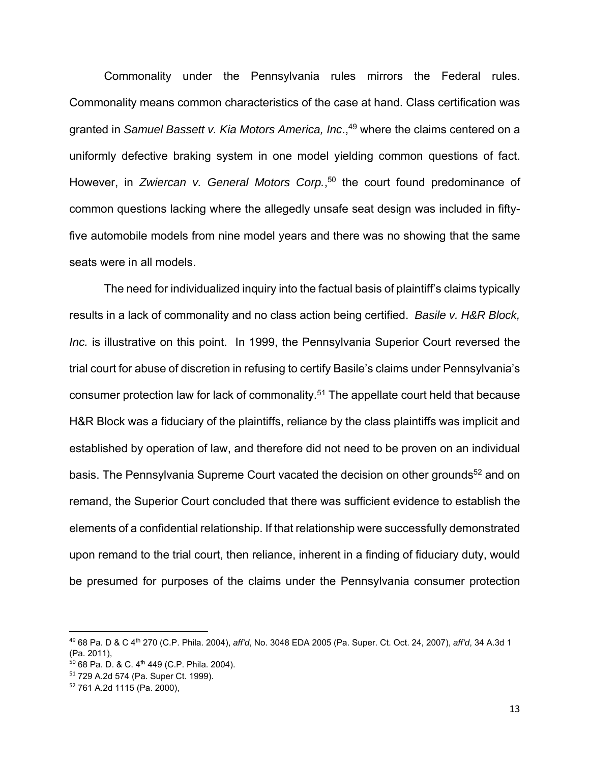Commonality under the Pennsylvania rules mirrors the Federal rules. Commonality means common characteristics of the case at hand. Class certification was granted in *Samuel Bassett v. Kia Motors America, Inc*.,49 where the claims centered on a uniformly defective braking system in one model yielding common questions of fact. However, in *Zwiercan v. General Motors Corp.*, 50 the court found predominance of common questions lacking where the allegedly unsafe seat design was included in fiftyfive automobile models from nine model years and there was no showing that the same seats were in all models.

 The need for individualized inquiry into the factual basis of plaintiff's claims typically results in a lack of commonality and no class action being certified. *Basile v. H&R Block, Inc.* is illustrative on this point. In 1999, the Pennsylvania Superior Court reversed the trial court for abuse of discretion in refusing to certify Basile's claims under Pennsylvania's consumer protection law for lack of commonality.<sup>51</sup> The appellate court held that because H&R Block was a fiduciary of the plaintiffs, reliance by the class plaintiffs was implicit and established by operation of law, and therefore did not need to be proven on an individual basis. The Pennsylvania Supreme Court vacated the decision on other grounds<sup>52</sup> and on remand, the Superior Court concluded that there was sufficient evidence to establish the elements of a confidential relationship. If that relationship were successfully demonstrated upon remand to the trial court, then reliance, inherent in a finding of fiduciary duty, would be presumed for purposes of the claims under the Pennsylvania consumer protection

<sup>49</sup> 68 Pa. D & C 4th 270 (C.P. Phila. 2004), *aff'd*, No. 3048 EDA 2005 (Pa. Super. Ct. Oct. 24, 2007), *aff'd*, 34 A.3d 1 (Pa. 2011),

 $50$  68 Pa. D. & C. 4<sup>th</sup> 449 (C.P. Phila. 2004).

<sup>51</sup> 729 A.2d 574 (Pa. Super Ct. 1999).

<sup>52</sup> 761 A.2d 1115 (Pa. 2000),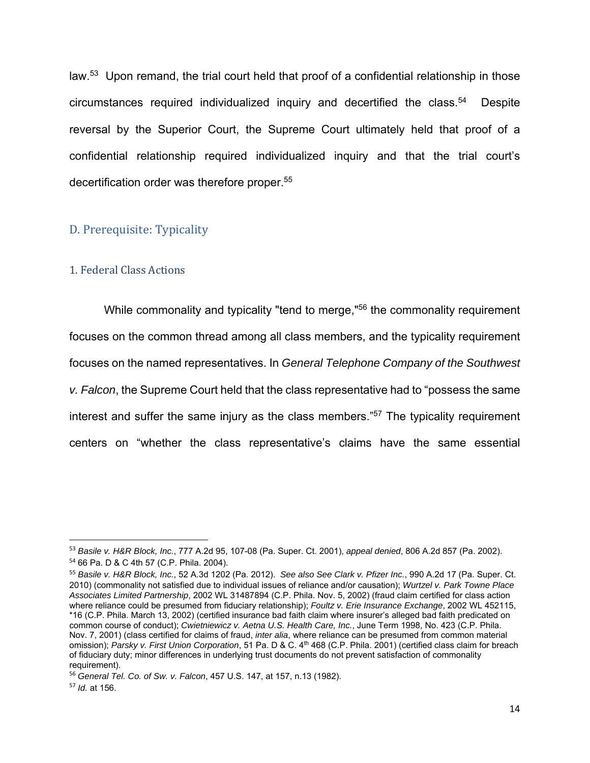law.<sup>53</sup> Upon remand, the trial court held that proof of a confidential relationship in those circumstances required individualized inquiry and decertified the class.54 Despite reversal by the Superior Court, the Supreme Court ultimately held that proof of a confidential relationship required individualized inquiry and that the trial court's decertification order was therefore proper.<sup>55</sup>

#### D. Prerequisite: Typicality

### 1. Federal Class Actions

While commonality and typicality "tend to merge,"56 the commonality requirement focuses on the common thread among all class members, and the typicality requirement focuses on the named representatives. In *General Telephone Company of the Southwest v. Falcon*, the Supreme Court held that the class representative had to "possess the same interest and suffer the same injury as the class members." $57$  The typicality requirement centers on "whether the class representative's claims have the same essential

<sup>53</sup> *Basile v. H&R Block, Inc.*, 777 A.2d 95, 107-08 (Pa. Super. Ct. 2001), *appeal denied*, 806 A.2d 857 (Pa. 2002). <sup>54</sup> 66 Pa. D & C 4th 57 (C.P. Phila. 2004).

<sup>55</sup> *Basile v. H&R Block, Inc.*, 52 A.3d 1202 (Pa. 2012). *See also See Clark v. Pfizer Inc.*, 990 A.2d 17 (Pa. Super. Ct. 2010) (commonality not satisfied due to individual issues of reliance and/or causation); *Wurtzel v. Park Towne Place Associates Limited Partnership*, 2002 WL 31487894 (C.P. Phila. Nov. 5, 2002) (fraud claim certified for class action where reliance could be presumed from fiduciary relationship); *Foultz v. Erie Insurance Exchange*, 2002 WL 452115, \*16 (C.P. Phila. March 13, 2002) (certified insurance bad faith claim where insurer's alleged bad faith predicated on common course of conduct); *Cwietniewicz v. Aetna U.S. Health Care, Inc.*, June Term 1998, No. 423 (C.P. Phila. Nov. 7, 2001) (class certified for claims of fraud, *inter alia*, where reliance can be presumed from common material omission); Parsky v. First Union Corporation, 51 Pa. D & C. 4<sup>th</sup> 468 (C.P. Phila. 2001) (certified class claim for breach of fiduciary duty; minor differences in underlying trust documents do not prevent satisfaction of commonality requirement).

<sup>56</sup> *General Tel. Co. of Sw. v. Falcon*, 457 U.S. 147, at 157, n.13 (1982).

<sup>57</sup> *Id.* at 156.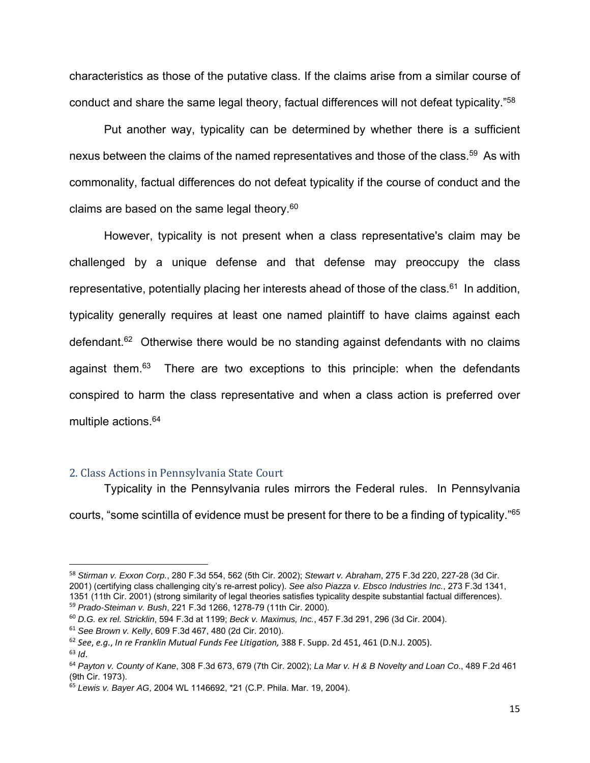characteristics as those of the putative class. If the claims arise from a similar course of conduct and share the same legal theory, factual differences will not defeat typicality."58

Put another way, typicality can be determined by whether there is a sufficient nexus between the claims of the named representatives and those of the class.<sup>59</sup> As with commonality, factual differences do not defeat typicality if the course of conduct and the claims are based on the same legal theory. $60$ 

However, typicality is not present when a class representative's claim may be challenged by a unique defense and that defense may preoccupy the class representative, potentially placing her interests ahead of those of the class. $61$  In addition, typicality generally requires at least one named plaintiff to have claims against each defendant.<sup>62</sup> Otherwise there would be no standing against defendants with no claims against them.<sup>63</sup> There are two exceptions to this principle: when the defendants conspired to harm the class representative and when a class action is preferred over multiple actions.64

#### 2. Class Actions in Pennsylvania State Court

Typicality in the Pennsylvania rules mirrors the Federal rules. In Pennsylvania courts, "some scintilla of evidence must be present for there to be a finding of typicality."65

<sup>58</sup> *Stirman v. Exxon Corp.*, 280 F.3d 554, 562 (5th Cir. 2002); *Stewart v. Abraham*, 275 F.3d 220, 227-28 (3d Cir. 2001) (certifying class challenging city's re-arrest policy). *See also Piazza v. Ebsco Industries Inc.*, 273 F.3d 1341, 1351 (11th Cir. 2001) (strong similarity of legal theories satisfies typicality despite substantial factual differences). <sup>59</sup> *Prado-Steiman v. Bush*, 221 F.3d 1266, 1278-79 (11th Cir. 2000).

<sup>60</sup> *D.G. ex rel. Stricklin*, 594 F.3d at 1199; *Beck v. Maximus, Inc.*, 457 F.3d 291, 296 (3d Cir. 2004).

<sup>61</sup> *See Brown v. Kelly*, 609 F.3d 467, 480 (2d Cir. 2010).

<sup>62</sup> *See*, *e.g.*, *In re Franklin Mutual Funds Fee Litigation,* 388 F. Supp. 2d 451, 461 (D.N.J. 2005). <sup>63</sup> *Id*.

<sup>64</sup> *Payton v. County of Kane*, 308 F.3d 673, 679 (7th Cir. 2002); *La Mar v. H & B Novelty and Loan Co*., 489 F.2d 461 (9th Cir. 1973).

<sup>65</sup> *Lewis v. Bayer AG*, 2004 WL 1146692, \*21 (C.P. Phila. Mar. 19, 2004).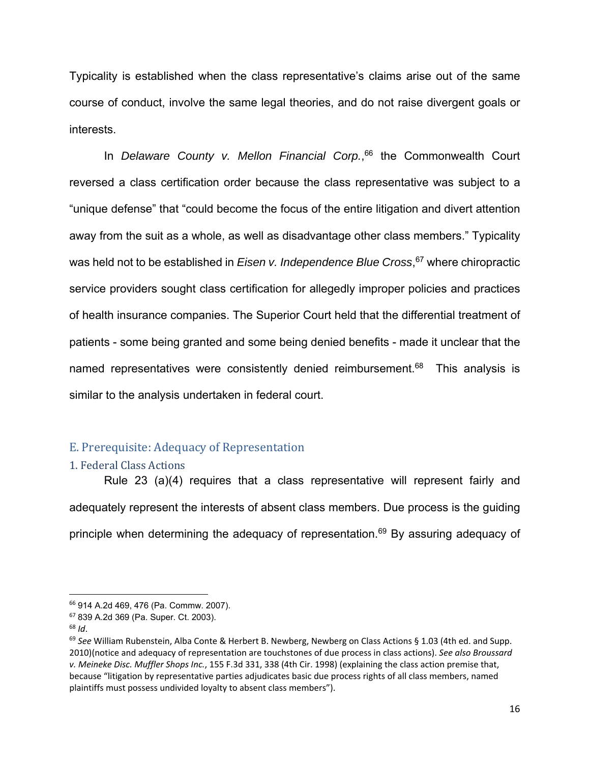Typicality is established when the class representative's claims arise out of the same course of conduct, involve the same legal theories, and do not raise divergent goals or interests.

 In *Delaware County v. Mellon Financial Corp.*, 66 the Commonwealth Court reversed a class certification order because the class representative was subject to a "unique defense" that "could become the focus of the entire litigation and divert attention away from the suit as a whole, as well as disadvantage other class members." Typicality was held not to be established in *Eisen v. Independence Blue Cross*, 67 where chiropractic service providers sought class certification for allegedly improper policies and practices of health insurance companies. The Superior Court held that the differential treatment of patients - some being granted and some being denied benefits - made it unclear that the named representatives were consistently denied reimbursement.<sup>68</sup> This analysis is similar to the analysis undertaken in federal court.

## E. Prerequisite: Adequacy of Representation

#### 1. Federal Class Actions

Rule 23 (a)(4) requires that a class representative will represent fairly and adequately represent the interests of absent class members. Due process is the guiding principle when determining the adequacy of representation.<sup>69</sup> By assuring adequacy of

<sup>66</sup> 914 A.2d 469, 476 (Pa. Commw. 2007).

<sup>67</sup> 839 A.2d 369 (Pa. Super. Ct. 2003).

<sup>68</sup> *Id*.

<sup>69</sup> *See* William Rubenstein, Alba Conte & Herbert B. Newberg, Newberg on Class Actions § 1.03 (4th ed. and Supp. 2010)(notice and adequacy of representation are touchstones of due process in class actions). *See also Broussard v. Meineke Disc. Muffler Shops Inc.*, 155 F.3d 331, 338 (4th Cir. 1998) (explaining the class action premise that, because "litigation by representative parties adjudicates basic due process rights of all class members, named plaintiffs must possess undivided loyalty to absent class members").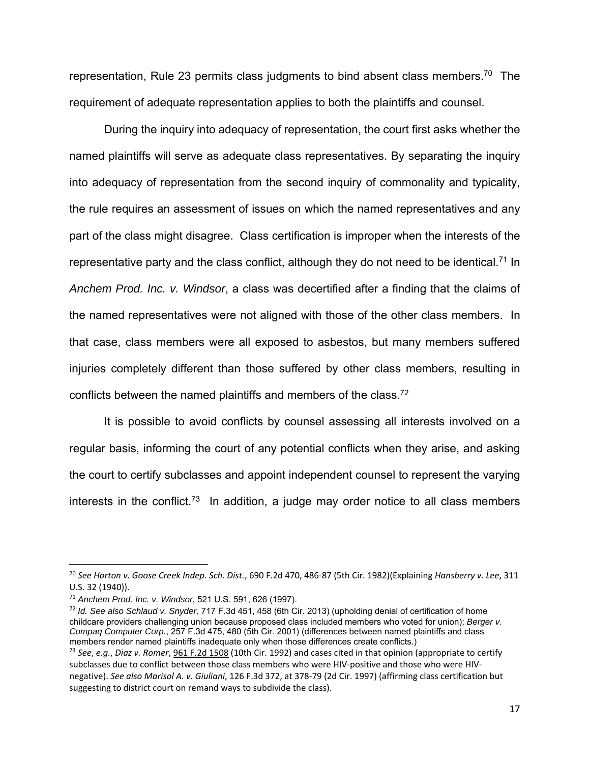representation, Rule 23 permits class judgments to bind absent class members.<sup>70</sup> The requirement of adequate representation applies to both the plaintiffs and counsel.

During the inquiry into adequacy of representation, the court first asks whether the named plaintiffs will serve as adequate class representatives. By separating the inquiry into adequacy of representation from the second inquiry of commonality and typicality, the rule requires an assessment of issues on which the named representatives and any part of the class might disagree. Class certification is improper when the interests of the representative party and the class conflict, although they do not need to be identical.<sup>71</sup> In *Anchem Prod. Inc. v. Windsor*, a class was decertified after a finding that the claims of the named representatives were not aligned with those of the other class members. In that case, class members were all exposed to asbestos, but many members suffered injuries completely different than those suffered by other class members, resulting in conflicts between the named plaintiffs and members of the class.<sup>72</sup>

It is possible to avoid conflicts by counsel assessing all interests involved on a regular basis, informing the court of any potential conflicts when they arise, and asking the court to certify subclasses and appoint independent counsel to represent the varying interests in the conflict.<sup>73</sup> In addition, a judge may order notice to all class members

<sup>70</sup> *See Horton v. Goose Creek Indep. Sch. Dist.*, 690 F.2d 470, 486‐87 (5th Cir. 1982)(Explaining *Hansberry v. Lee*, 311 U.S. 32 (1940)).

<sup>71</sup> *Anchem Prod. Inc. v. Windsor*, 521 U.S. 591, 626 (1997).

<sup>72</sup> *Id. See also Schlaud v. Snyder,* 717 F.3d 451, 458 (6th Cir. 2013) (upholding denial of certification of home childcare providers challenging union because proposed class included members who voted for union); *Berger v. Compaq Computer Corp.*, 257 F.3d 475, 480 (5th Cir. 2001) (differences between named plaintiffs and class members render named plaintiffs inadequate only when those differences create conflicts.)

<sup>73</sup> *See*, *e.g.*, *Diaz v. Romer*, 961 F.2d 1508 (10th Cir. 1992) and cases cited in that opinion (appropriate to certify subclasses due to conflict between those class members who were HIV-positive and those who were HIVnegative). *See also Marisol A. v. Giuliani*, 126 F.3d 372, at 378‐79 (2d Cir. 1997) (affirming class certification but suggesting to district court on remand ways to subdivide the class).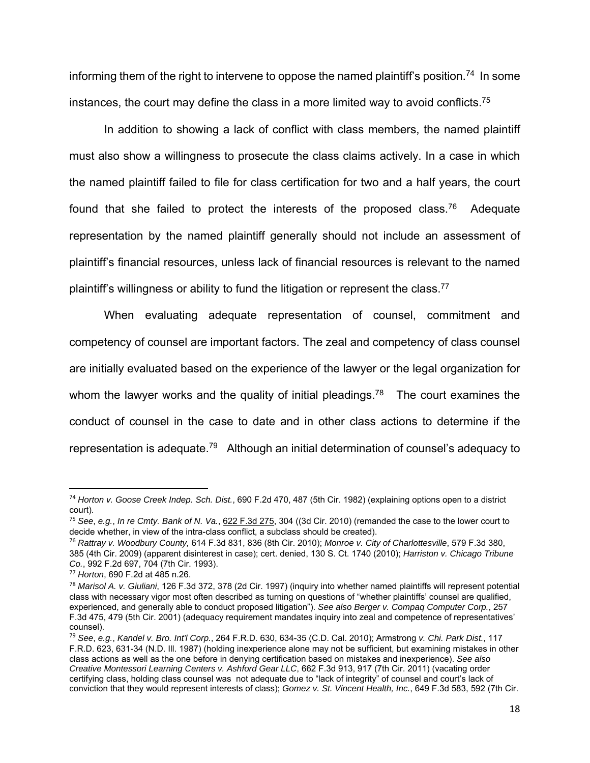informing them of the right to intervene to oppose the named plaintiff's position.<sup>74</sup> In some instances, the court may define the class in a more limited way to avoid conflicts.<sup>75</sup>

In addition to showing a lack of conflict with class members, the named plaintiff must also show a willingness to prosecute the class claims actively. In a case in which the named plaintiff failed to file for class certification for two and a half years, the court found that she failed to protect the interests of the proposed class.<sup>76</sup> Adequate representation by the named plaintiff generally should not include an assessment of plaintiff's financial resources, unless lack of financial resources is relevant to the named plaintiff's willingness or ability to fund the litigation or represent the class.<sup>77</sup>

When evaluating adequate representation of counsel, commitment and competency of counsel are important factors. The zeal and competency of class counsel are initially evaluated based on the experience of the lawyer or the legal organization for whom the lawyer works and the quality of initial pleadings.<sup>78</sup> The court examines the conduct of counsel in the case to date and in other class actions to determine if the representation is adequate.<sup>79</sup> Although an initial determination of counsel's adequacy to

<sup>74</sup> *Horton v. Goose Creek Indep. Sch. Dist.*, 690 F.2d 470, 487 (5th Cir. 1982) (explaining options open to a district court).

<sup>75</sup> *See*, *e.g.*, *In re Cmty. Bank of N. Va.*, 622 F.3d 275, 304 ((3d Cir. 2010) (remanded the case to the lower court to decide whether, in view of the intra-class conflict, a subclass should be created).

<sup>76</sup> *Rattray v. Woodbury County,* 614 F.3d 831, 836 (8th Cir. 2010); *Monroe v. City of Charlottesville*, 579 F.3d 380, 385 (4th Cir. 2009) (apparent disinterest in case); cert. denied, 130 S. Ct. 1740 (2010); *Harriston v. Chicago Tribune Co.*, 992 F.2d 697, 704 (7th Cir. 1993).

<sup>77</sup> *Horton*, 690 F.2d at 485 n.26.

<sup>78</sup> *Marisol A. v. Giuliani*, 126 F.3d 372, 378 (2d Cir. 1997) (inquiry into whether named plaintiffs will represent potential class with necessary vigor most often described as turning on questions of "whether plaintiffs' counsel are qualified, experienced, and generally able to conduct proposed litigation"). *See also Berger v. Compaq Computer Corp.*, 257 F.3d 475, 479 (5th Cir. 2001) (adequacy requirement mandates inquiry into zeal and competence of representatives' counsel).

<sup>79</sup> *See*, *e.g.*, *Kandel v. Bro. Int'l Corp.*, 264 F.R.D. 630, 634-35 (C.D. Cal. 2010); Armstrong *v. Chi. Park Dist.*, 117 F.R.D. 623, 631-34 (N.D. Ill. 1987) (holding inexperience alone may not be sufficient, but examining mistakes in other class actions as well as the one before in denying certification based on mistakes and inexperience). *See also Creative Montessori Learning Centers v. Ashford Gear LLC*, 662 F.3d 913, 917 (7th Cir. 2011) (vacating order certifying class, holding class counsel was not adequate due to "lack of integrity" of counsel and court's lack of conviction that they would represent interests of class); *Gomez v. St. Vincent Health, Inc.*, 649 F.3d 583, 592 (7th Cir.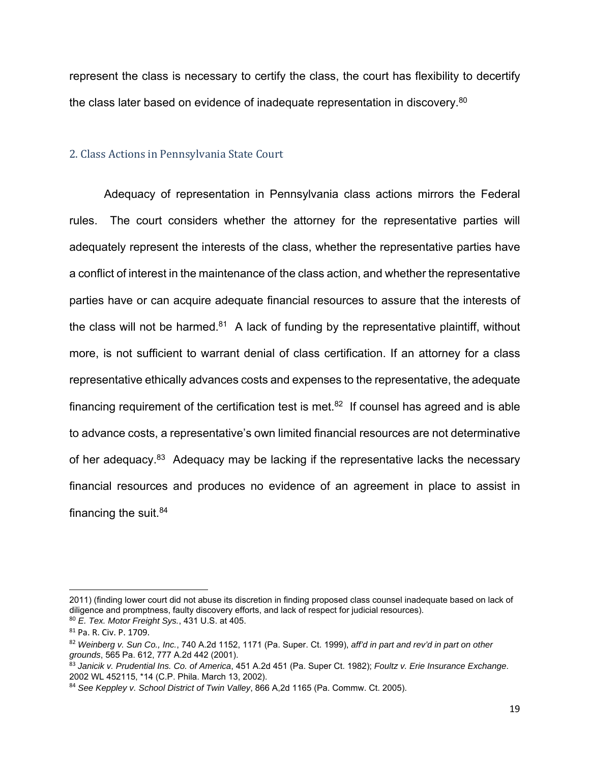represent the class is necessary to certify the class, the court has flexibility to decertify the class later based on evidence of inadequate representation in discovery.<sup>80</sup>

#### 2. Class Actions in Pennsylvania State Court

Adequacy of representation in Pennsylvania class actions mirrors the Federal rules. The court considers whether the attorney for the representative parties will adequately represent the interests of the class, whether the representative parties have a conflict of interest in the maintenance of the class action, and whether the representative parties have or can acquire adequate financial resources to assure that the interests of the class will not be harmed.<sup>81</sup> A lack of funding by the representative plaintiff, without more, is not sufficient to warrant denial of class certification. If an attorney for a class representative ethically advances costs and expenses to the representative, the adequate financing requirement of the certification test is met. $82$  If counsel has agreed and is able to advance costs, a representative's own limited financial resources are not determinative of her adequacy.<sup>83</sup> Adequacy may be lacking if the representative lacks the necessary financial resources and produces no evidence of an agreement in place to assist in financing the suit. $84$ 

<sup>2011) (</sup>finding lower court did not abuse its discretion in finding proposed class counsel inadequate based on lack of diligence and promptness, faulty discovery efforts, and lack of respect for judicial resources).

<sup>80</sup> *E. Tex. Motor Freight Sys.*, 431 U.S. at 405.

<sup>81</sup> Pa. R. Civ. P. 1709.

<sup>82</sup> *Weinberg v. Sun Co., Inc.*, 740 A.2d 1152, 1171 (Pa. Super. Ct. 1999), *aff'd in part and rev'd in part on other grounds*, 565 Pa. 612, 777 A.2d 442 (2001).

<sup>83</sup> *Janicik v. Prudential Ins. Co. of America*, 451 A.2d 451 (Pa. Super Ct. 1982); *Foultz v. Erie Insurance Exchange*. 2002 WL 452115, \*14 (C.P. Phila. March 13, 2002).

<sup>84</sup> *See Keppley v. School District of Twin Valley*, 866 A,2d 1165 (Pa. Commw. Ct. 2005).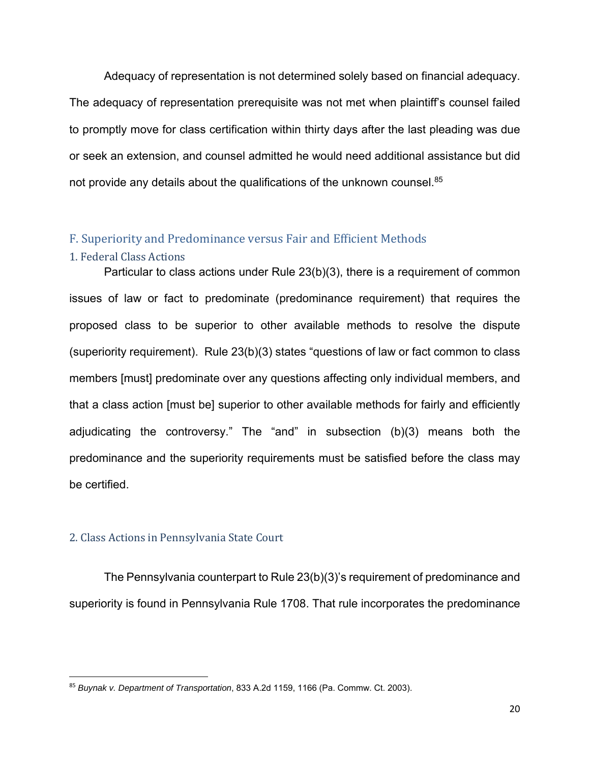Adequacy of representation is not determined solely based on financial adequacy. The adequacy of representation prerequisite was not met when plaintiff's counsel failed to promptly move for class certification within thirty days after the last pleading was due or seek an extension, and counsel admitted he would need additional assistance but did not provide any details about the qualifications of the unknown counsel.<sup>85</sup>

#### F. Superiority and Predominance versus Fair and Efficient Methods

#### 1. Federal Class Actions

Particular to class actions under Rule 23(b)(3), there is a requirement of common issues of law or fact to predominate (predominance requirement) that requires the proposed class to be superior to other available methods to resolve the dispute (superiority requirement). Rule 23(b)(3) states "questions of law or fact common to class members [must] predominate over any questions affecting only individual members, and that a class action [must be] superior to other available methods for fairly and efficiently adjudicating the controversy." The "and" in subsection (b)(3) means both the predominance and the superiority requirements must be satisfied before the class may be certified.

#### 2. Class Actions in Pennsylvania State Court

The Pennsylvania counterpart to Rule 23(b)(3)'s requirement of predominance and superiority is found in Pennsylvania Rule 1708. That rule incorporates the predominance

<sup>85</sup> *Buynak v. Department of Transpo*r*tation*, 833 A.2d 1159, 1166 (Pa. Commw. Ct. 2003).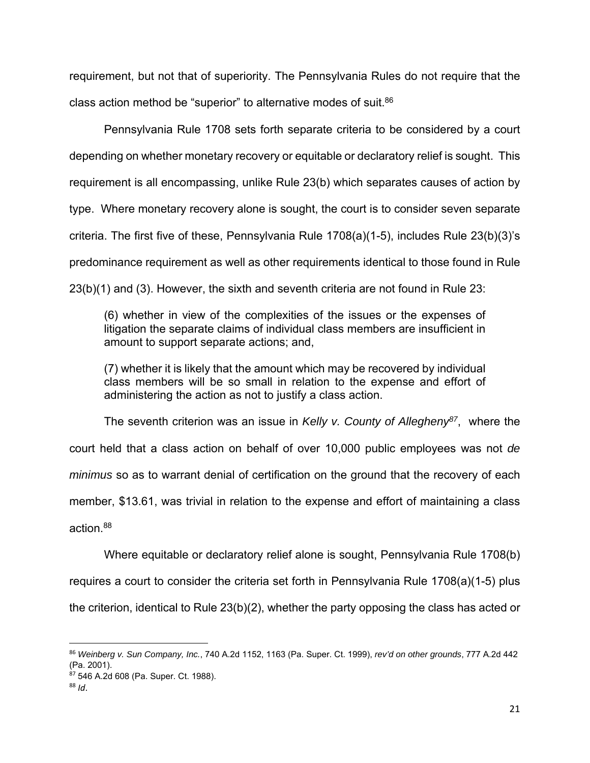requirement, but not that of superiority. The Pennsylvania Rules do not require that the class action method be "superior" to alternative modes of suit.86

 Pennsylvania Rule 1708 sets forth separate criteria to be considered by a court depending on whether monetary recovery or equitable or declaratory relief is sought. This requirement is all encompassing, unlike Rule 23(b) which separates causes of action by type. Where monetary recovery alone is sought, the court is to consider seven separate criteria. The first five of these, Pennsylvania Rule 1708(a)(1-5), includes Rule 23(b)(3)'s predominance requirement as well as other requirements identical to those found in Rule 23(b)(1) and (3). However, the sixth and seventh criteria are not found in Rule 23:

(6) whether in view of the complexities of the issues or the expenses of litigation the separate claims of individual class members are insufficient in amount to support separate actions; and,

(7) whether it is likely that the amount which may be recovered by individual class members will be so small in relation to the expense and effort of administering the action as not to justify a class action.

The seventh criterion was an issue in *Kelly v. County of Allegheny87*, where the court held that a class action on behalf of over 10,000 public employees was not *de minimus* so as to warrant denial of certification on the ground that the recovery of each member, \$13.61, was trivial in relation to the expense and effort of maintaining a class action  $88$ 

 Where equitable or declaratory relief alone is sought, Pennsylvania Rule 1708(b) requires a court to consider the criteria set forth in Pennsylvania Rule 1708(a)(1-5) plus the criterion, identical to Rule 23(b)(2), whether the party opposing the class has acted or

<sup>86</sup> *Weinberg v. Sun Company, Inc.*, 740 A.2d 1152, 1163 (Pa. Super. Ct. 1999), *rev'd on other grounds*, 777 A.2d 442 (Pa. 2001).

 $87$  546 A.2d 608 (Pa. Super. Ct. 1988).

<sup>88</sup> *Id*.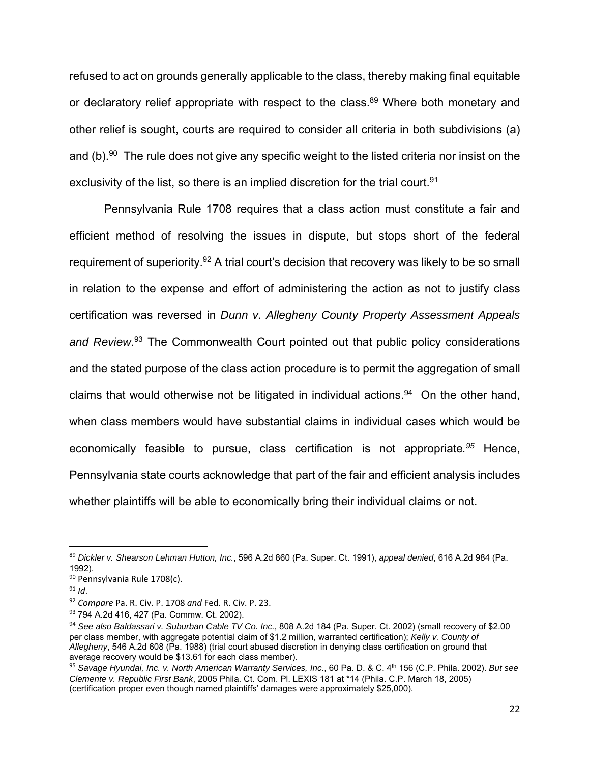refused to act on grounds generally applicable to the class, thereby making final equitable or declaratory relief appropriate with respect to the class.<sup>89</sup> Where both monetary and other relief is sought, courts are required to consider all criteria in both subdivisions (a) and (b).<sup>90</sup> The rule does not give any specific weight to the listed criteria nor insist on the exclusivity of the list, so there is an implied discretion for the trial court.<sup>91</sup>

Pennsylvania Rule 1708 requires that a class action must constitute a fair and efficient method of resolving the issues in dispute, but stops short of the federal requirement of superiority.<sup>92</sup> A trial court's decision that recovery was likely to be so small in relation to the expense and effort of administering the action as not to justify class certification was reversed in *Dunn v. Allegheny County Property Assessment Appeals and Review*. 93 The Commonwealth Court pointed out that public policy considerations and the stated purpose of the class action procedure is to permit the aggregation of small claims that would otherwise not be litigated in individual actions.<sup>94</sup> On the other hand, when class members would have substantial claims in individual cases which would be economically feasible to pursue, class certification is not appropriate*. <sup>95</sup>* Hence, Pennsylvania state courts acknowledge that part of the fair and efficient analysis includes whether plaintiffs will be able to economically bring their individual claims or not.

<sup>89</sup> *Dickler v. Shearson Lehman Hutton, Inc.*, 596 A.2d 860 (Pa. Super. Ct. 1991), *appeal denied*, 616 A.2d 984 (Pa. 1992).

<sup>90</sup> Pennsylvania Rule 1708(c).

 $91$  *Id.* 

<sup>92</sup> *Compare* Pa. R. Civ. P. 1708 *and* Fed. R. Civ. P. 23.

<sup>93 794</sup> A.2d 416, 427 (Pa. Commw. Ct. 2002).

<sup>94</sup> *See also Baldassari v. Suburban Cable TV Co. Inc.*, 808 A.2d 184 (Pa. Super. Ct. 2002) (small recovery of \$2.00 per class member, with aggregate potential claim of \$1.2 million, warranted certification); *Kelly v. County of Allegheny*, 546 A.2d 608 (Pa. 1988) (trial court abused discretion in denying class certification on ground that average recovery would be \$13.61 for each class member).

<sup>95</sup> *Savage Hyundai, Inc. v. North American Warranty Services, Inc*., 60 Pa. D. & C. 4th 156 (C.P. Phila. 2002). *But see Clemente v. Republic First Bank*, 2005 Phila. Ct. Com. Pl. LEXIS 181 at \*14 (Phila. C.P. March 18, 2005) (certification proper even though named plaintiffs' damages were approximately \$25,000).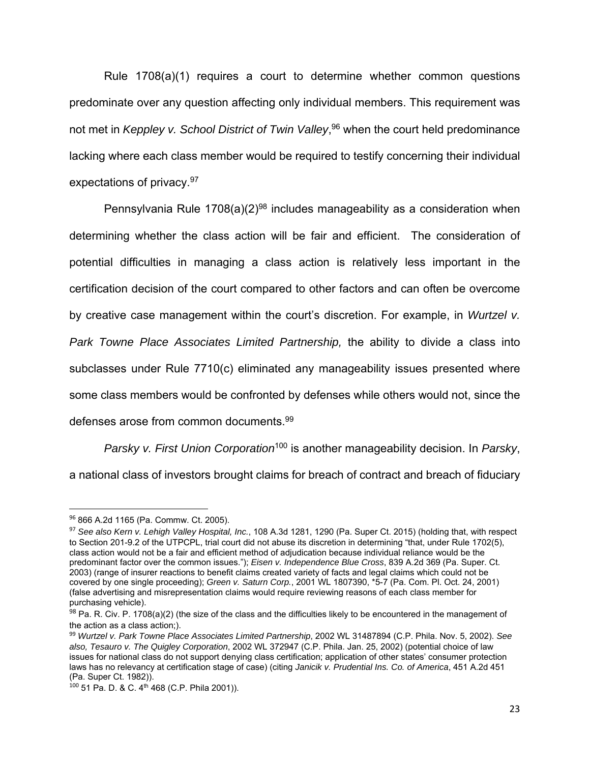Rule 1708(a)(1) requires a court to determine whether common questions predominate over any question affecting only individual members. This requirement was not met in *Keppley v. School District of Twin Valley*, 96 when the court held predominance lacking where each class member would be required to testify concerning their individual expectations of privacy.97

Pennsylvania Rule 1708(a)(2)<sup>98</sup> includes manageability as a consideration when determining whether the class action will be fair and efficient. The consideration of potential difficulties in managing a class action is relatively less important in the certification decision of the court compared to other factors and can often be overcome by creative case management within the court's discretion. For example, in *Wurtzel v. Park Towne Place Associates Limited Partnership,* the ability to divide a class into subclasses under Rule 7710(c) eliminated any manageability issues presented where some class members would be confronted by defenses while others would not, since the defenses arose from common documents.99

*Parsky v. First Union Corporation*100 is another manageability decision. In *Parsky*, a national class of investors brought claims for breach of contract and breach of fiduciary

<sup>96</sup> 866 A.2d 1165 (Pa. Commw. Ct. 2005).

<sup>97</sup> *See also Kern v. Lehigh Valley Hospital, Inc.*, 108 A.3d 1281, 1290 (Pa. Super Ct. 2015) (holding that, with respect to Section 201-9.2 of the UTPCPL, trial court did not abuse its discretion in determining "that, under Rule 1702(5), class action would not be a fair and efficient method of adjudication because individual reliance would be the predominant factor over the common issues."); *Eisen v. Independence Blue Cross*, 839 A.2d 369 (Pa. Super. Ct. 2003) (range of insurer reactions to benefit claims created variety of facts and legal claims which could not be covered by one single proceeding); *Green v. Saturn Corp.*, 2001 WL 1807390, \*5-7 (Pa. Com. Pl. Oct. 24, 2001) (false advertising and misrepresentation claims would require reviewing reasons of each class member for purchasing vehicle).

 $98$  Pa. R. Civ. P. 1708(a)(2) (the size of the class and the difficulties likely to be encountered in the management of the action as a class action;).

<sup>99</sup> *Wurtzel v. Park Towne Place Associates Limited Partnership*, 2002 WL 31487894 (C.P. Phila. Nov. 5, 2002). *See also, Tesauro v. The Quigley Corporation*, 2002 WL 372947 (C.P. Phila. Jan. 25, 2002) (potential choice of law issues for national class do not support denying class certification; application of other states' consumer protection laws has no relevancy at certification stage of case) (citing *Janicik v. Prudential Ins. Co. of America*, 451 A.2d 451 (Pa. Super Ct. 1982)).

<sup>100 51</sup> Pa. D. & C. 4<sup>th</sup> 468 (C.P. Phila 2001)).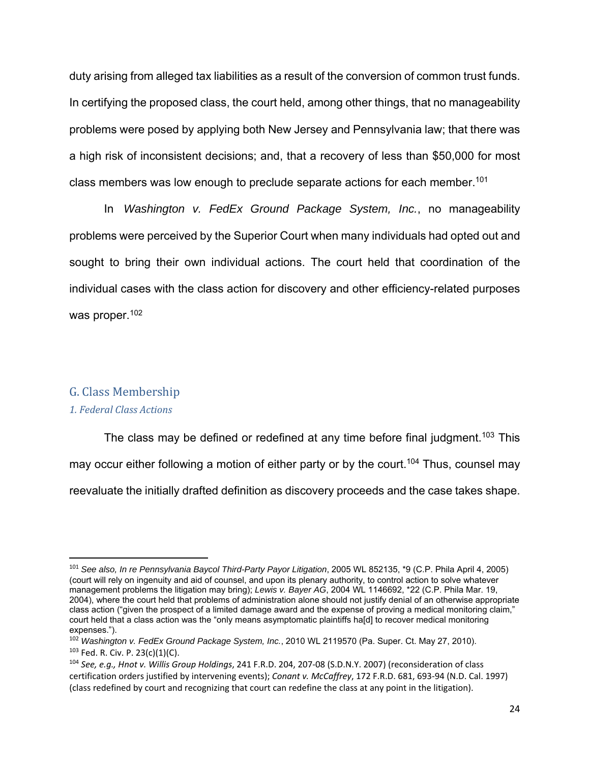duty arising from alleged tax liabilities as a result of the conversion of common trust funds. In certifying the proposed class, the court held, among other things, that no manageability problems were posed by applying both New Jersey and Pennsylvania law; that there was a high risk of inconsistent decisions; and, that a recovery of less than \$50,000 for most class members was low enough to preclude separate actions for each member.<sup>101</sup>

 In *Washington v. FedEx Ground Package System, Inc.*, no manageability problems were perceived by the Superior Court when many individuals had opted out and sought to bring their own individual actions. The court held that coordination of the individual cases with the class action for discovery and other efficiency-related purposes was proper.<sup>102</sup>

#### G. Class Membership

#### *1. Federal Class Actions*

The class may be defined or redefined at any time before final judgment.<sup>103</sup> This may occur either following a motion of either party or by the court.<sup>104</sup> Thus, counsel may reevaluate the initially drafted definition as discovery proceeds and the case takes shape.

<sup>101</sup> *See also, In re Pennsylvania Baycol Third-Party Payor Litigation*, 2005 WL 852135, \*9 (C.P. Phila April 4, 2005) (court will rely on ingenuity and aid of counsel, and upon its plenary authority, to control action to solve whatever management problems the litigation may bring); *Lewis v. Bayer AG*, 2004 WL 1146692, \*22 (C.P. Phila Mar. 19, 2004), where the court held that problems of administration alone should not justify denial of an otherwise appropriate class action ("given the prospect of a limited damage award and the expense of proving a medical monitoring claim," court held that a class action was the "only means asymptomatic plaintiffs ha[d] to recover medical monitoring expenses.").

<sup>102</sup> *Washington v. FedEx Ground Package System, Inc.*, 2010 WL 2119570 (Pa. Super. Ct. May 27, 2010).  $103$  Fed. R. Civ. P. 23(c)(1)(C).

<sup>104</sup> *See, e.g., Hnot v. Willis Group Holdings*, 241 F.R.D. 204, 207‐08 (S.D.N.Y. 2007) (reconsideration of class certification orders justified by intervening events); *Conant v. McCaffrey*, 172 F.R.D. 681, 693‐94 (N.D. Cal. 1997) (class redefined by court and recognizing that court can redefine the class at any point in the litigation).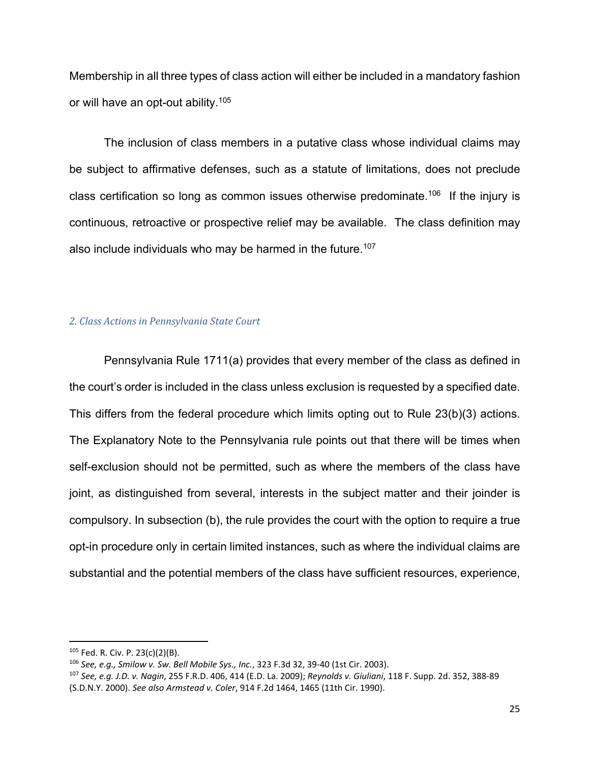Membership in all three types of class action will either be included in a mandatory fashion or will have an opt-out ability.105

The inclusion of class members in a putative class whose individual claims may be subject to affirmative defenses, such as a statute of limitations, does not preclude class certification so long as common issues otherwise predominate.<sup>106</sup> If the injury is continuous, retroactive or prospective relief may be available. The class definition may also include individuals who may be harmed in the future.<sup>107</sup>

#### *2. Class Actions in Pennsylvania State Court*

Pennsylvania Rule 1711(a) provides that every member of the class as defined in the court's order is included in the class unless exclusion is requested by a specified date. This differs from the federal procedure which limits opting out to Rule 23(b)(3) actions. The Explanatory Note to the Pennsylvania rule points out that there will be times when self-exclusion should not be permitted, such as where the members of the class have joint, as distinguished from several, interests in the subject matter and their joinder is compulsory. In subsection (b), the rule provides the court with the option to require a true opt-in procedure only in certain limited instances, such as where the individual claims are substantial and the potential members of the class have sufficient resources, experience,

<sup>105</sup> Fed. R. Civ. P. 23(c)(2)(B).

<sup>106</sup> *See, e.g., Smilow v. Sw. Bell Mobile Sys., Inc.*, 323 F.3d 32, 39‐40 (1st Cir. 2003).

<sup>107</sup> *See, e.g. J.D. v. Nagin*, 255 F.R.D. 406, 414 (E.D. La. 2009); *Reynolds v. Giuliani*, 118 F. Supp. 2d. 352, 388‐89 (S.D.N.Y. 2000). *See also Armstead v. Coler*, 914 F.2d 1464, 1465 (11th Cir. 1990).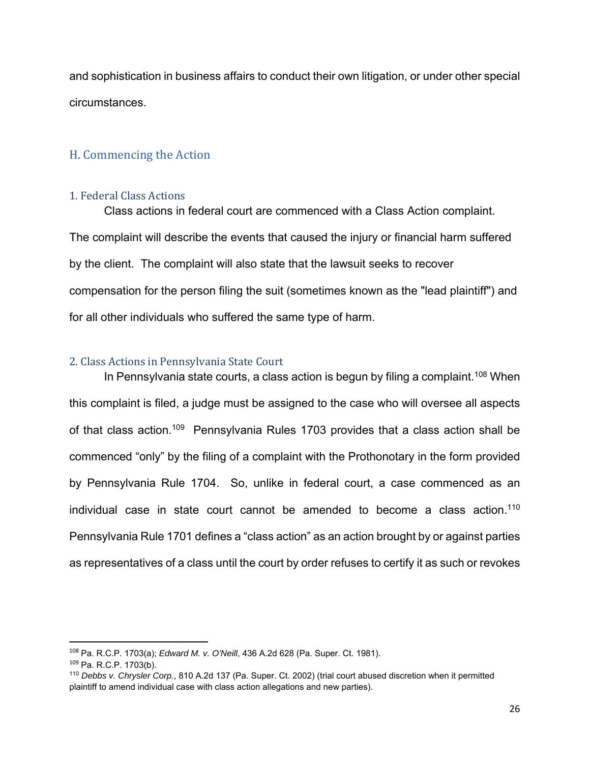and sophistication in business affairs to conduct their own litigation, or under other special circumstances.

## H. Commencing the Action

#### 1. Federal Class Actions

Class actions in federal court are commenced with a Class Action complaint. The complaint will describe the events that caused the injury or financial harm suffered by the client. The complaint will also state that the lawsuit seeks to recover compensation for the person filing the suit (sometimes known as the "lead plaintiff") and for all other individuals who suffered the same type of harm.

## 2. Class Actions in Pennsylvania State Court

In Pennsylvania state courts, a class action is begun by filing a complaint.<sup>108</sup> When this complaint is filed, a judge must be assigned to the case who will oversee all aspects of that class action.<sup>109</sup> Pennsylvania Rules 1703 provides that a class action shall be commenced "only" by the filing of a complaint with the Prothonotary in the form provided by Pennsylvania Rule 1704. So, unlike in federal court, a case commenced as an individual case in state court cannot be amended to become a class action.<sup>110</sup> Pennsylvania Rule 1701 defines a "class action" as an action brought by or against parties as representatives of a class until the court by order refuses to certify it as such or revokes

<sup>108</sup> Pa. R.C.P. 1703(a); *Edward M. v. O'Neill*, 436 A.2d 628 (Pa. Super. Ct. 1981).

<sup>109</sup> Pa. R.C.P. 1703(b).

<sup>110</sup> *Debbs v. Chrysler Corp.*, 810 A.2d 137 (Pa. Super. Ct. 2002) (trial court abused discretion when it permitted plaintiff to amend individual case with class action allegations and new parties).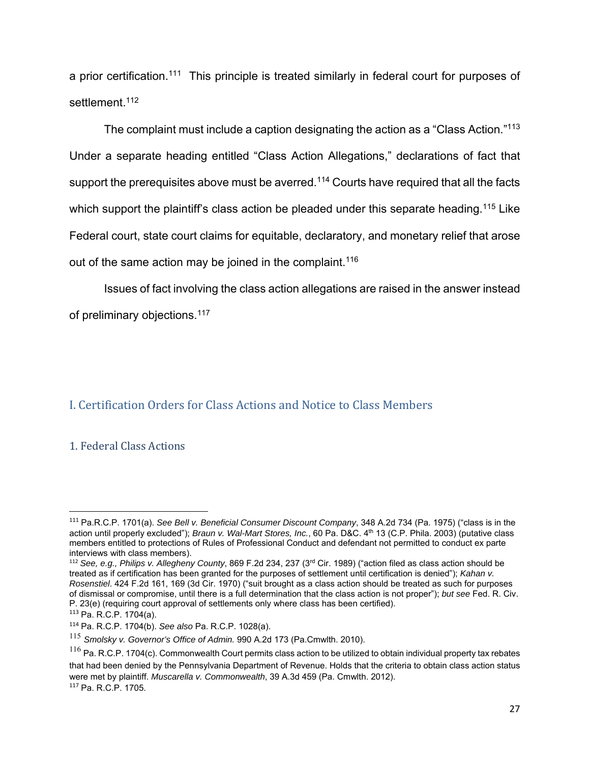a prior certification.<sup>111</sup> This principle is treated similarly in federal court for purposes of settlement.<sup>112</sup>

The complaint must include a caption designating the action as a "Class Action."<sup>113</sup> Under a separate heading entitled "Class Action Allegations," declarations of fact that support the prerequisites above must be averred.<sup>114</sup> Courts have required that all the facts which support the plaintiff's class action be pleaded under this separate heading.<sup>115</sup> Like Federal court, state court claims for equitable, declaratory, and monetary relief that arose out of the same action may be joined in the complaint.<sup>116</sup>

Issues of fact involving the class action allegations are raised in the answer instead of preliminary objections.<sup>117</sup>

## I. Certification Orders for Class Actions and Notice to Class Members

#### 1. Federal Class Actions

<sup>111</sup> Pa.R.C.P. 1701(a). *See Bell v. Beneficial Consumer Discount Company*, 348 A.2d 734 (Pa. 1975) ("class is in the action until properly excluded"); *Braun v. Wal-Mart Stores, Inc.*, 60 Pa. D&C. 4th 13 (C.P. Phila. 2003) (putative class members entitled to protections of Rules of Professional Conduct and defendant not permitted to conduct ex parte interviews with class members).

<sup>112</sup> *See, e.g., Philips v. Allegheny County*, 869 F.2d 234, 237 (3rd Cir. 1989) ("action filed as class action should be treated as if certification has been granted for the purposes of settlement until certification is denied"); *Kahan v. Rosenstiel*. 424 F.2d 161, 169 (3d Cir. 1970) ("suit brought as a class action should be treated as such for purposes of dismissal or compromise, until there is a full determination that the class action is not proper"); *but see* Fed. R. Civ. P. 23(e) (requiring court approval of settlements only where class has been certified).

<sup>113</sup> Pa. R.C.P. 1704(a).

<sup>114</sup> Pa. R.C.P. 1704(b). *See also* Pa. R.C.P. 1028(a).

<sup>115</sup> *Smolsky v. Governor's Office of Admin.* 990 A.2d 173 (Pa.Cmwlth. 2010).

 $116$  Pa. R.C.P. 1704(c). Commonwealth Court permits class action to be utilized to obtain individual property tax rebates that had been denied by the Pennsylvania Department of Revenue. Holds that the criteria to obtain class action status were met by plaintiff. *Muscarella v. Commonwealth*, 39 A.3d 459 (Pa. Cmwlth. 2012). <sup>117</sup> Pa. R.C.P. 1705.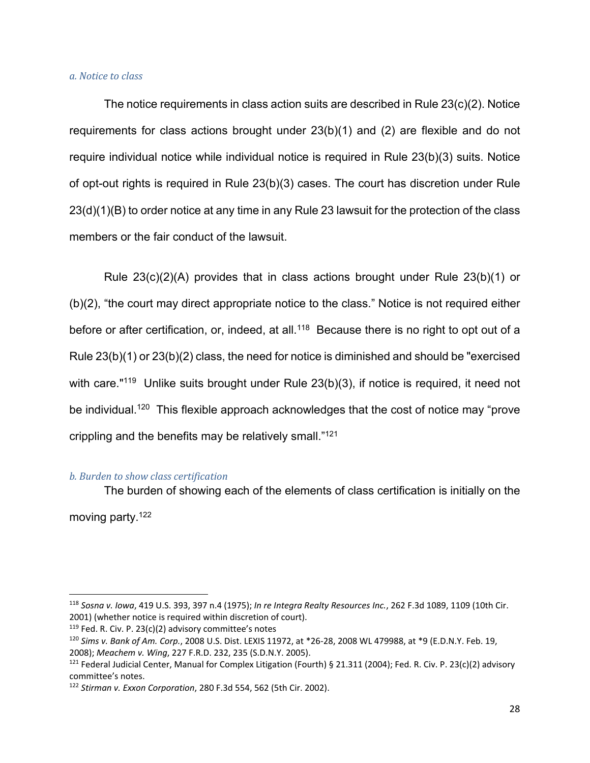#### *a. Notice to class*

The notice requirements in class action suits are described in Rule 23(c)(2). Notice requirements for class actions brought under 23(b)(1) and (2) are flexible and do not require individual notice while individual notice is required in Rule 23(b)(3) suits. Notice of opt-out rights is required in Rule 23(b)(3) cases. The court has discretion under Rule 23(d)(1)(B) to order notice at any time in any Rule 23 lawsuit for the protection of the class members or the fair conduct of the lawsuit.

Rule 23(c)(2)(A) provides that in class actions brought under Rule 23(b)(1) or (b)(2), "the court may direct appropriate notice to the class." Notice is not required either before or after certification, or, indeed, at all.<sup>118</sup> Because there is no right to opt out of a Rule 23(b)(1) or 23(b)(2) class, the need for notice is diminished and should be "exercised with care."<sup>119</sup> Unlike suits brought under Rule 23(b)(3), if notice is required, it need not be individual.<sup>120</sup> This flexible approach acknowledges that the cost of notice may "prove crippling and the benefits may be relatively small."121

#### *b. Burden to show class certification*

The burden of showing each of the elements of class certification is initially on the moving party.122

<sup>118</sup> *Sosna v. Iowa*, 419 U.S. 393, 397 n.4 (1975); *In re Integra Realty Resources Inc.*, 262 F.3d 1089, 1109 (10th Cir. 2001) (whether notice is required within discretion of court).

 $119$  Fed. R. Civ. P. 23(c)(2) advisory committee's notes

<sup>120</sup> *Sims v. Bank of Am. Corp.*, 2008 U.S. Dist. LEXIS 11972, at \*26‐28, 2008 WL 479988, at \*9 (E.D.N.Y. Feb. 19, 2008); *Meachem v. Wing*, 227 F.R.D. 232, 235 (S.D.N.Y. 2005).

<sup>&</sup>lt;sup>121</sup> Federal Judicial Center, Manual for Complex Litigation (Fourth) § 21.311 (2004); Fed. R. Civ. P. 23(c)(2) advisory committee's notes.

<sup>122</sup> *Stirman v. Exxon Corporation*, 280 F.3d 554, 562 (5th Cir. 2002).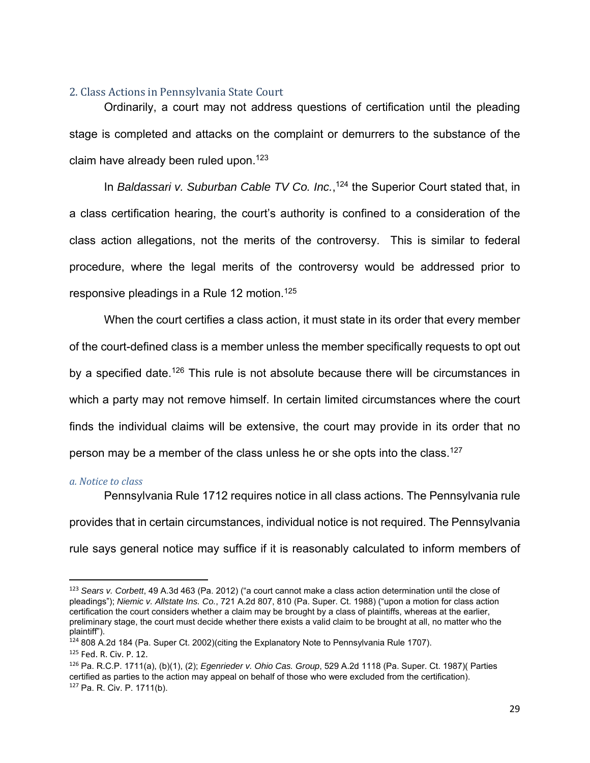#### 2. Class Actions in Pennsylvania State Court

Ordinarily, a court may not address questions of certification until the pleading stage is completed and attacks on the complaint or demurrers to the substance of the claim have already been ruled upon.<sup>123</sup>

In *Baldassari v. Suburban Cable TV Co. Inc.*,<sup>124</sup> the Superior Court stated that, in a class certification hearing, the court's authority is confined to a consideration of the class action allegations, not the merits of the controversy. This is similar to federal procedure, where the legal merits of the controversy would be addressed prior to responsive pleadings in a Rule 12 motion.125

When the court certifies a class action, it must state in its order that every member of the court-defined class is a member unless the member specifically requests to opt out by a specified date.<sup>126</sup> This rule is not absolute because there will be circumstances in which a party may not remove himself. In certain limited circumstances where the court finds the individual claims will be extensive, the court may provide in its order that no person may be a member of the class unless he or she opts into the class.<sup>127</sup>

#### *a. Notice to class*

Pennsylvania Rule 1712 requires notice in all class actions. The Pennsylvania rule provides that in certain circumstances, individual notice is not required. The Pennsylvania rule says general notice may suffice if it is reasonably calculated to inform members of

<sup>123</sup> *Sears v. Corbett*, 49 A.3d 463 (Pa. 2012) ("a court cannot make a class action determination until the close of pleadings"); *Niemic v. Allstate Ins. Co.*, 721 A.2d 807, 810 (Pa. Super. Ct. 1988) ("upon a motion for class action certification the court considers whether a claim may be brought by a class of plaintiffs, whereas at the earlier, preliminary stage, the court must decide whether there exists a valid claim to be brought at all, no matter who the plaintiff").

<sup>&</sup>lt;sup>124</sup> 808 A.2d 184 (Pa. Super Ct. 2002)(citing the Explanatory Note to Pennsylvania Rule 1707). 125 Fed. R. Civ. P. 12.

<sup>126</sup> Pa. R.C.P. 1711(a), (b)(1), (2); *Egenrieder v. Ohio Cas. Group*, 529 A.2d 1118 (Pa. Super. Ct. 1987)( Parties certified as parties to the action may appeal on behalf of those who were excluded from the certification). <sup>127</sup> Pa. R. Civ. P. 1711(b).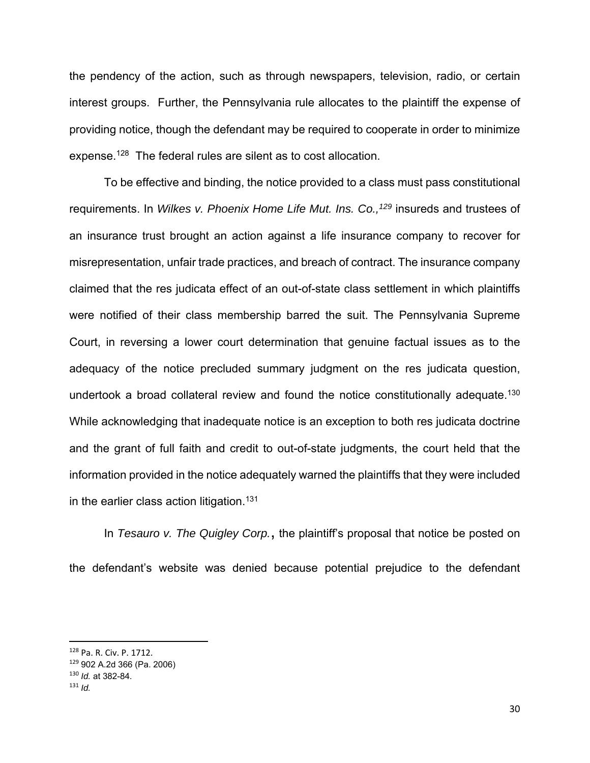the pendency of the action, such as through newspapers, television, radio, or certain interest groups. Further, the Pennsylvania rule allocates to the plaintiff the expense of providing notice, though the defendant may be required to cooperate in order to minimize expense.128 The federal rules are silent as to cost allocation.

To be effective and binding, the notice provided to a class must pass constitutional requirements. In *Wilkes v. Phoenix Home Life Mut. Ins. Co.*,<sup>129</sup> insureds and trustees of an insurance trust brought an action against a life insurance company to recover for misrepresentation, unfair trade practices, and breach of contract. The insurance company claimed that the res judicata effect of an out-of-state class settlement in which plaintiffs were notified of their class membership barred the suit. The Pennsylvania Supreme Court, in reversing a lower court determination that genuine factual issues as to the adequacy of the notice precluded summary judgment on the res judicata question, undertook a broad collateral review and found the notice constitutionally adequate.<sup>130</sup> While acknowledging that inadequate notice is an exception to both res judicata doctrine and the grant of full faith and credit to out-of-state judgments, the court held that the information provided in the notice adequately warned the plaintiffs that they were included in the earlier class action litigation.<sup>131</sup>

 In *Tesauro v. The Quigley Corp.*, the plaintiff's proposal that notice be posted on the defendant's website was denied because potential prejudice to the defendant

<sup>128</sup> Pa. R. Civ. P. 1712.

<sup>129</sup> 902 A.2d 366 (Pa. 2006)

<sup>130</sup> *Id.* at 382-84.

<sup>131</sup> *Id.*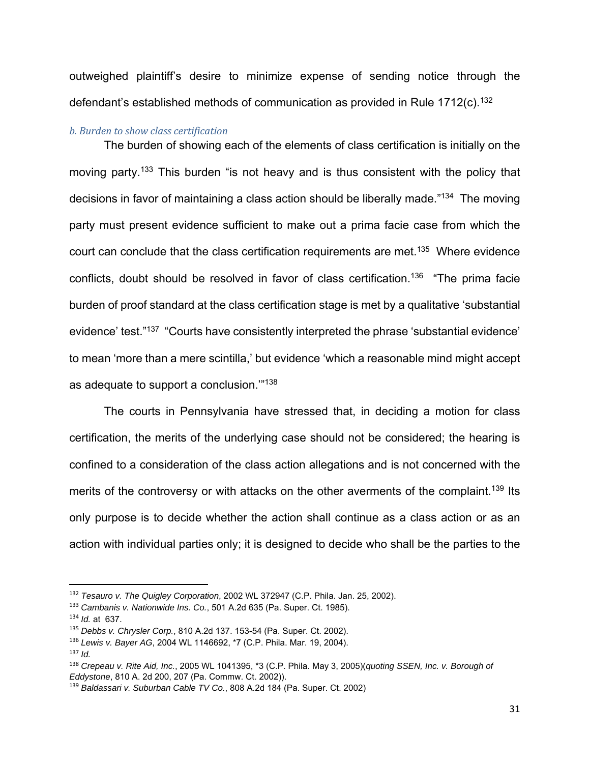outweighed plaintiff's desire to minimize expense of sending notice through the defendant's established methods of communication as provided in Rule 1712(c).<sup>132</sup>

#### *b. Burden to show class certification*

The burden of showing each of the elements of class certification is initially on the moving party.<sup>133</sup> This burden "is not heavy and is thus consistent with the policy that decisions in favor of maintaining a class action should be liberally made."<sup>134</sup> The moving party must present evidence sufficient to make out a prima facie case from which the court can conclude that the class certification requirements are met.<sup>135</sup> Where evidence conflicts, doubt should be resolved in favor of class certification.136 "The prima facie burden of proof standard at the class certification stage is met by a qualitative 'substantial evidence' test."137 "Courts have consistently interpreted the phrase 'substantial evidence' to mean 'more than a mere scintilla,' but evidence 'which a reasonable mind might accept as adequate to support a conclusion.'"138

 The courts in Pennsylvania have stressed that, in deciding a motion for class certification, the merits of the underlying case should not be considered; the hearing is confined to a consideration of the class action allegations and is not concerned with the merits of the controversy or with attacks on the other averments of the complaint.<sup>139</sup> Its only purpose is to decide whether the action shall continue as a class action or as an action with individual parties only; it is designed to decide who shall be the parties to the

<sup>132</sup> *Tesauro v. The Quigley Corporation*, 2002 WL 372947 (C.P. Phila. Jan. 25, 2002).

<sup>133</sup> *Cambanis v. Nationwide Ins. Co.*, 501 A.2d 635 (Pa. Super. Ct. 1985).

<sup>134</sup> *Id.* at 637.

<sup>135</sup> *Debbs v. Chrysler Corp.*, 810 A.2d 137. 153-54 (Pa. Super. Ct. 2002).

<sup>136</sup> *Lewis v. Bayer AG*, 2004 WL 1146692, \*7 (C.P. Phila. Mar. 19, 2004).

<sup>137</sup> *Id.*

<sup>138</sup> *Crepeau v. Rite Aid, Inc.*, 2005 WL 1041395, \*3 (C.P. Phila. May 3, 2005)(*quoting SSEN, Inc. v. Borough of Eddystone*, 810 A. 2d 200, 207 (Pa. Commw. Ct. 2002)).

<sup>139</sup> *Baldassari v. Suburban Cable TV Co.*, 808 A.2d 184 (Pa. Super. Ct. 2002)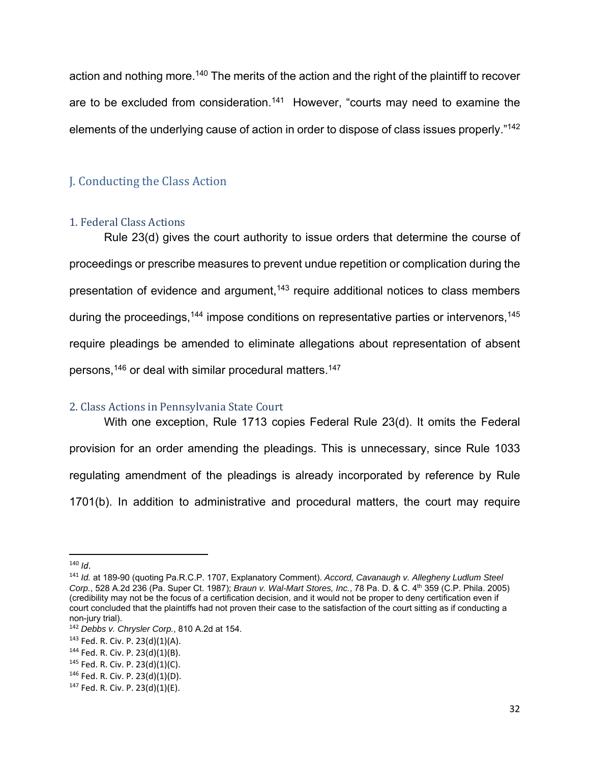action and nothing more.<sup>140</sup> The merits of the action and the right of the plaintiff to recover are to be excluded from consideration.<sup>141</sup> However, "courts may need to examine the elements of the underlying cause of action in order to dispose of class issues properly."142

## J. Conducting the Class Action

## 1. Federal Class Actions

Rule 23(d) gives the court authority to issue orders that determine the course of proceedings or prescribe measures to prevent undue repetition or complication during the presentation of evidence and argument, $143$  require additional notices to class members during the proceedings,  $144$  impose conditions on representative parties or intervenors,  $145$ require pleadings be amended to eliminate allegations about representation of absent persons,<sup>146</sup> or deal with similar procedural matters.<sup>147</sup>

## 2. Class Actions in Pennsylvania State Court

With one exception, Rule 1713 copies Federal Rule 23(d). It omits the Federal provision for an order amending the pleadings. This is unnecessary, since Rule 1033 regulating amendment of the pleadings is already incorporated by reference by Rule 1701(b). In addition to administrative and procedural matters, the court may require

 $140$  *Id.* 

<sup>141</sup> *Id.* at 189-90 (quoting Pa.R.C.P. 1707, Explanatory Comment). *Accord, Cavanaugh v. Allegheny Ludlum Steel Corp.*, 528 A.2d 236 (Pa. Super Ct. 1987); *Braun v. Wal-Mart Stores, Inc.*, 78 Pa. D. & C. 4th 359 (C.P. Phila. 2005) (credibility may not be the focus of a certification decision, and it would not be proper to deny certification even if court concluded that the plaintiffs had not proven their case to the satisfaction of the court sitting as if conducting a non-jury trial).

<sup>142</sup> *Debbs v. Chrysler Corp.*, 810 A.2d at 154.

 $143$  Fed. R. Civ. P. 23(d)(1)(A).

<sup>144</sup> Fed. R. Civ. P. 23(d)(1)(B).

 $145$  Fed. R. Civ. P. 23(d)(1)(C).

<sup>146</sup> Fed. R. Civ. P. 23(d)(1)(D).

 $147$  Fed. R. Civ. P. 23(d)(1)(E).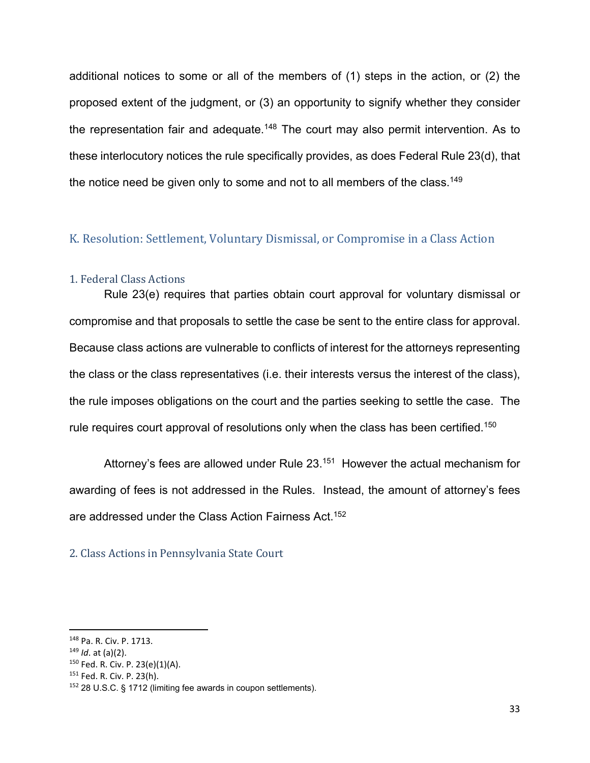additional notices to some or all of the members of (1) steps in the action, or (2) the proposed extent of the judgment, or (3) an opportunity to signify whether they consider the representation fair and adequate.<sup>148</sup> The court may also permit intervention. As to these interlocutory notices the rule specifically provides, as does Federal Rule 23(d), that the notice need be given only to some and not to all members of the class.<sup>149</sup>

## K. Resolution: Settlement, Voluntary Dismissal, or Compromise in a Class Action

#### 1. Federal Class Actions

Rule 23(e) requires that parties obtain court approval for voluntary dismissal or compromise and that proposals to settle the case be sent to the entire class for approval. Because class actions are vulnerable to conflicts of interest for the attorneys representing the class or the class representatives (i.e. their interests versus the interest of the class), the rule imposes obligations on the court and the parties seeking to settle the case. The rule requires court approval of resolutions only when the class has been certified.<sup>150</sup>

Attorney's fees are allowed under Rule 23.<sup>151</sup> However the actual mechanism for awarding of fees is not addressed in the Rules. Instead, the amount of attorney's fees are addressed under the Class Action Fairness Act.152

#### 2. Class Actions in Pennsylvania State Court

<sup>148</sup> Pa. R. Civ. P. 1713.

<sup>149</sup> *Id*. at (a)(2).

<sup>150</sup> Fed. R. Civ. P. 23(e)(1)(A).

<sup>151</sup> Fed. R. Civ. P. 23(h).

<sup>152</sup> 28 U.S.C. § 1712 (limiting fee awards in coupon settlements).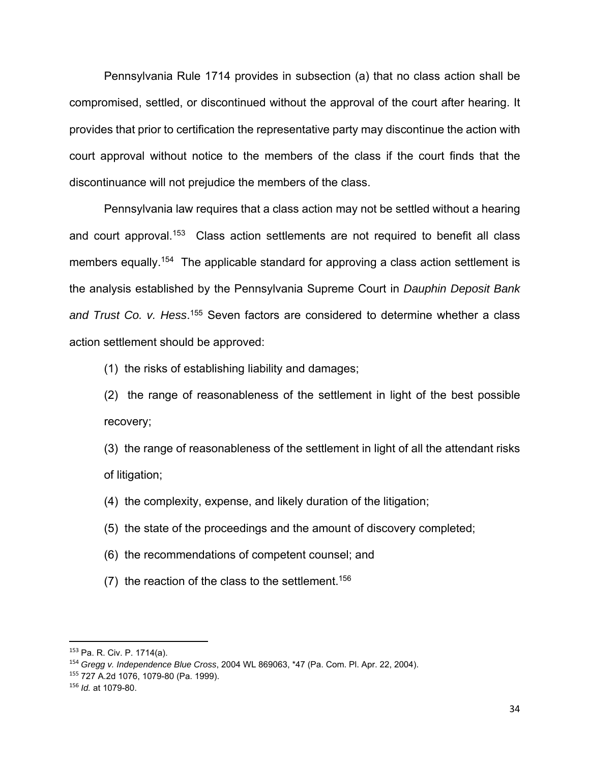Pennsylvania Rule 1714 provides in subsection (a) that no class action shall be compromised, settled, or discontinued without the approval of the court after hearing. It provides that prior to certification the representative party may discontinue the action with court approval without notice to the members of the class if the court finds that the discontinuance will not prejudice the members of the class.

Pennsylvania law requires that a class action may not be settled without a hearing and court approval.<sup>153</sup> Class action settlements are not required to benefit all class members equally.<sup>154</sup> The applicable standard for approving a class action settlement is the analysis established by the Pennsylvania Supreme Court in *Dauphin Deposit Bank*  and Trust Co. v. Hess.<sup>155</sup> Seven factors are considered to determine whether a class action settlement should be approved:

(1) the risks of establishing liability and damages;

(2) the range of reasonableness of the settlement in light of the best possible recovery;

(3) the range of reasonableness of the settlement in light of all the attendant risks of litigation;

- (4) the complexity, expense, and likely duration of the litigation;
- (5) the state of the proceedings and the amount of discovery completed;
- (6) the recommendations of competent counsel; and
- (7) the reaction of the class to the settlement.<sup>156</sup>

<sup>153</sup> Pa. R. Civ. P. 1714(a).

<sup>154</sup> *Gregg v. Independence Blue Cross*, 2004 WL 869063, \*47 (Pa. Com. Pl. Apr. 22, 2004).

<sup>155</sup> 727 A.2d 1076, 1079-80 (Pa. 1999).

<sup>156</sup> *Id.* at 1079-80.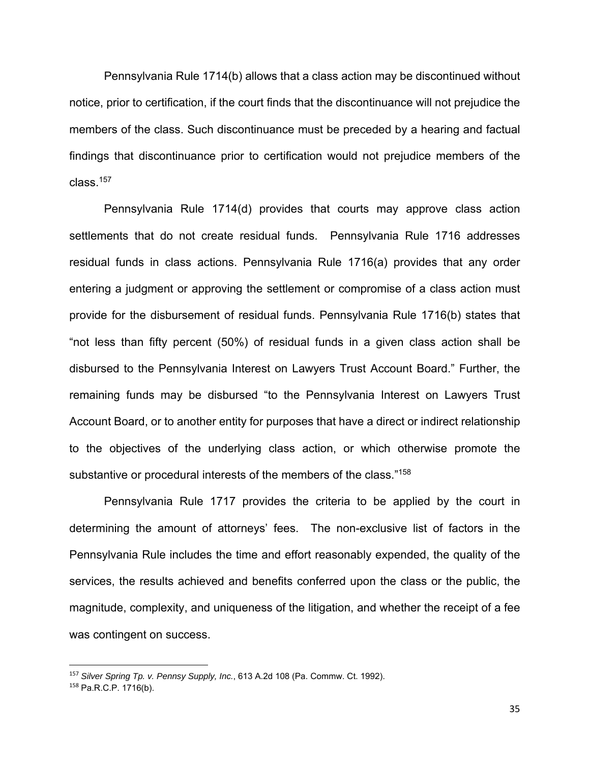Pennsylvania Rule 1714(b) allows that a class action may be discontinued without notice, prior to certification, if the court finds that the discontinuance will not prejudice the members of the class. Such discontinuance must be preceded by a hearing and factual findings that discontinuance prior to certification would not prejudice members of the class.157

 Pennsylvania Rule 1714(d) provides that courts may approve class action settlements that do not create residual funds. Pennsylvania Rule 1716 addresses residual funds in class actions. Pennsylvania Rule 1716(a) provides that any order entering a judgment or approving the settlement or compromise of a class action must provide for the disbursement of residual funds. Pennsylvania Rule 1716(b) states that "not less than fifty percent (50%) of residual funds in a given class action shall be disbursed to the Pennsylvania Interest on Lawyers Trust Account Board." Further, the remaining funds may be disbursed "to the Pennsylvania Interest on Lawyers Trust Account Board, or to another entity for purposes that have a direct or indirect relationship to the objectives of the underlying class action, or which otherwise promote the substantive or procedural interests of the members of the class."<sup>158</sup>

Pennsylvania Rule 1717 provides the criteria to be applied by the court in determining the amount of attorneys' fees. The non-exclusive list of factors in the Pennsylvania Rule includes the time and effort reasonably expended, the quality of the services, the results achieved and benefits conferred upon the class or the public, the magnitude, complexity, and uniqueness of the litigation, and whether the receipt of a fee was contingent on success.

<sup>157</sup> *Silver Spring Tp. v. Pennsy Supply, Inc.*, 613 A.2d 108 (Pa. Commw. Ct. 1992). <sup>158</sup> Pa.R.C.P. 1716(b).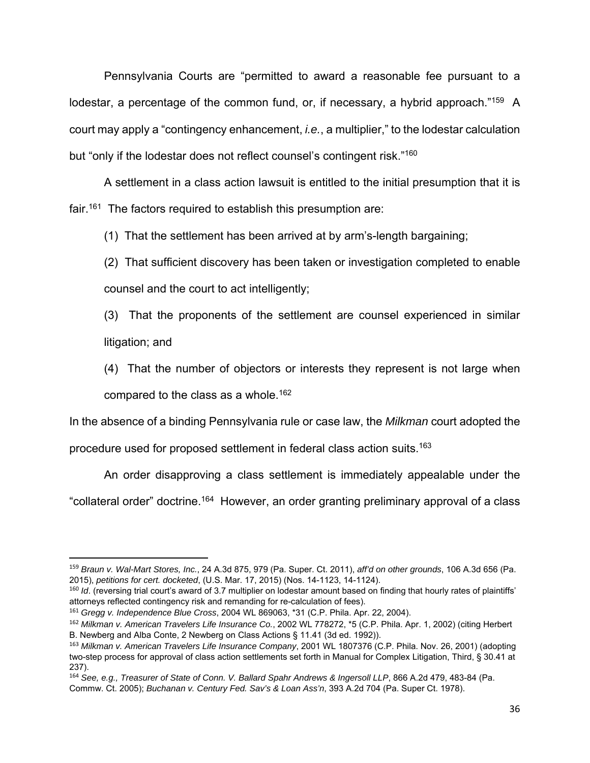Pennsylvania Courts are "permitted to award a reasonable fee pursuant to a lodestar, a percentage of the common fund, or, if necessary, a hybrid approach."<sup>159</sup> A court may apply a "contingency enhancement, *i.e.*, a multiplier," to the lodestar calculation but "only if the lodestar does not reflect counsel's contingent risk."<sup>160</sup>

 A settlement in a class action lawsuit is entitled to the initial presumption that it is fair.<sup>161</sup> The factors required to establish this presumption are:

(1) That the settlement has been arrived at by arm's-length bargaining;

(2) That sufficient discovery has been taken or investigation completed to enable counsel and the court to act intelligently;

(3) That the proponents of the settlement are counsel experienced in similar litigation; and

(4) That the number of objectors or interests they represent is not large when compared to the class as a whole.<sup>162</sup>

In the absence of a binding Pennsylvania rule or case law, the *Milkman* court adopted the

procedure used for proposed settlement in federal class action suits.163

An order disapproving a class settlement is immediately appealable under the

"collateral order" doctrine.164 However, an order granting preliminary approval of a class

<sup>159</sup> *Braun v. Wal-Mart Stores, Inc.*, 24 A.3d 875, 979 (Pa. Super. Ct. 2011), *aff'd on other grounds*, 106 A.3d 656 (Pa. 2015), *petitions for cert. docketed*, (U.S. Mar. 17, 2015) (Nos. 14-1123, 14-1124).

<sup>&</sup>lt;sup>160</sup> *Id*. (reversing trial court's award of 3.7 multiplier on lodestar amount based on finding that hourly rates of plaintiffs' attorneys reflected contingency risk and remanding for re-calculation of fees).

<sup>161</sup> *Gregg v. Independence Blue Cross*, 2004 WL 869063, \*31 (C.P. Phila. Apr. 22, 2004).

<sup>162</sup> *Milkman v. American Travelers Life Insurance Co.*, 2002 WL 778272, \*5 (C.P. Phila. Apr. 1, 2002) (citing Herbert B. Newberg and Alba Conte, 2 Newberg on Class Actions § 11.41 (3d ed. 1992)).

<sup>163</sup> *Milkman v. American Travelers Life Insurance Company*, 2001 WL 1807376 (C.P. Phila. Nov. 26, 2001) (adopting two-step process for approval of class action settlements set forth in Manual for Complex Litigation, Third, § 30.41 at 237).

<sup>164</sup> *See, e.g., Treasurer of State of Conn. V. Ballard Spahr Andrews & Ingersoll LLP*, 866 A.2d 479, 483-84 (Pa.

Commw. Ct. 2005); *Buchanan v. Century Fed. Sav's & Loan Ass'n*, 393 A.2d 704 (Pa. Super Ct. 1978).